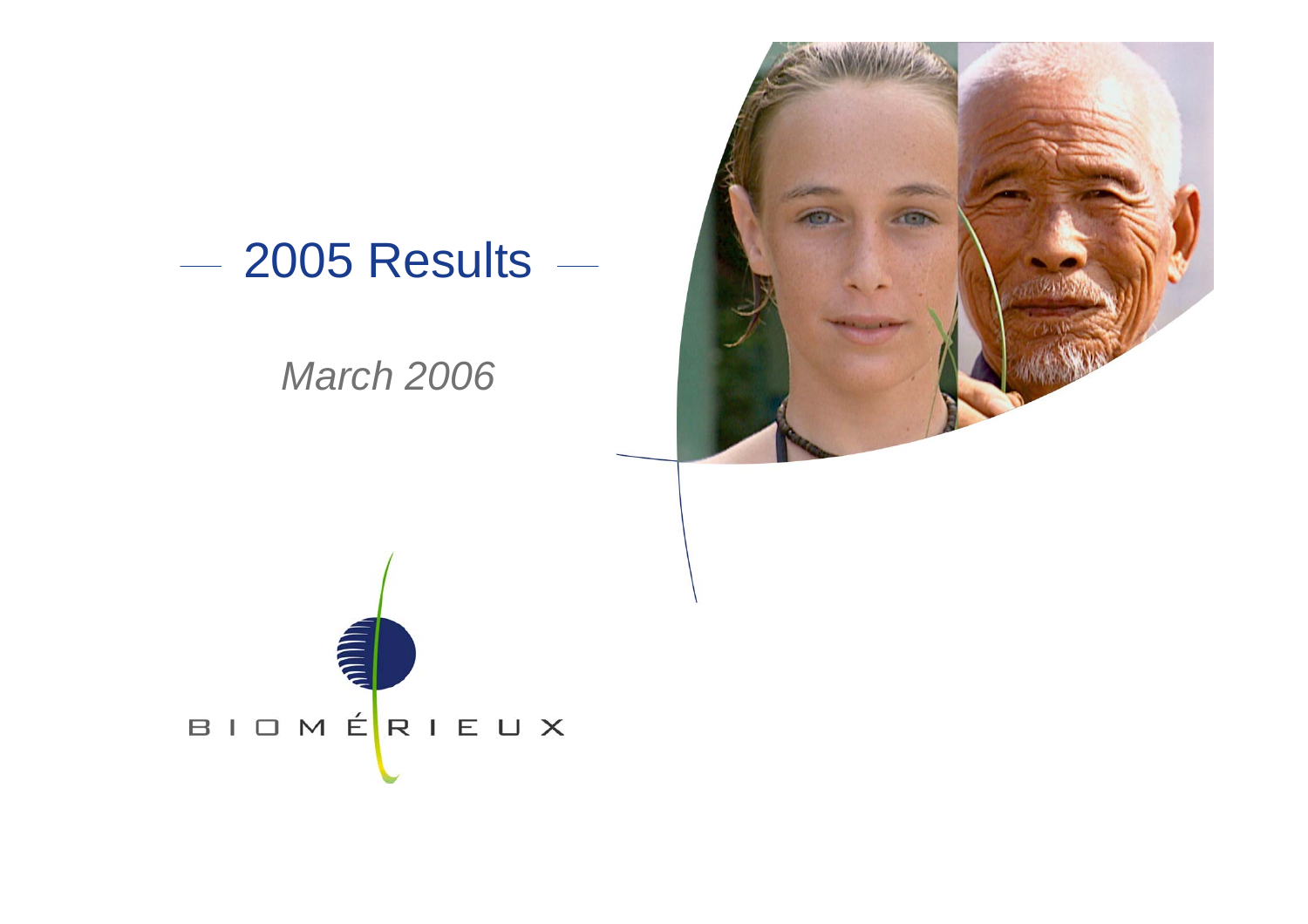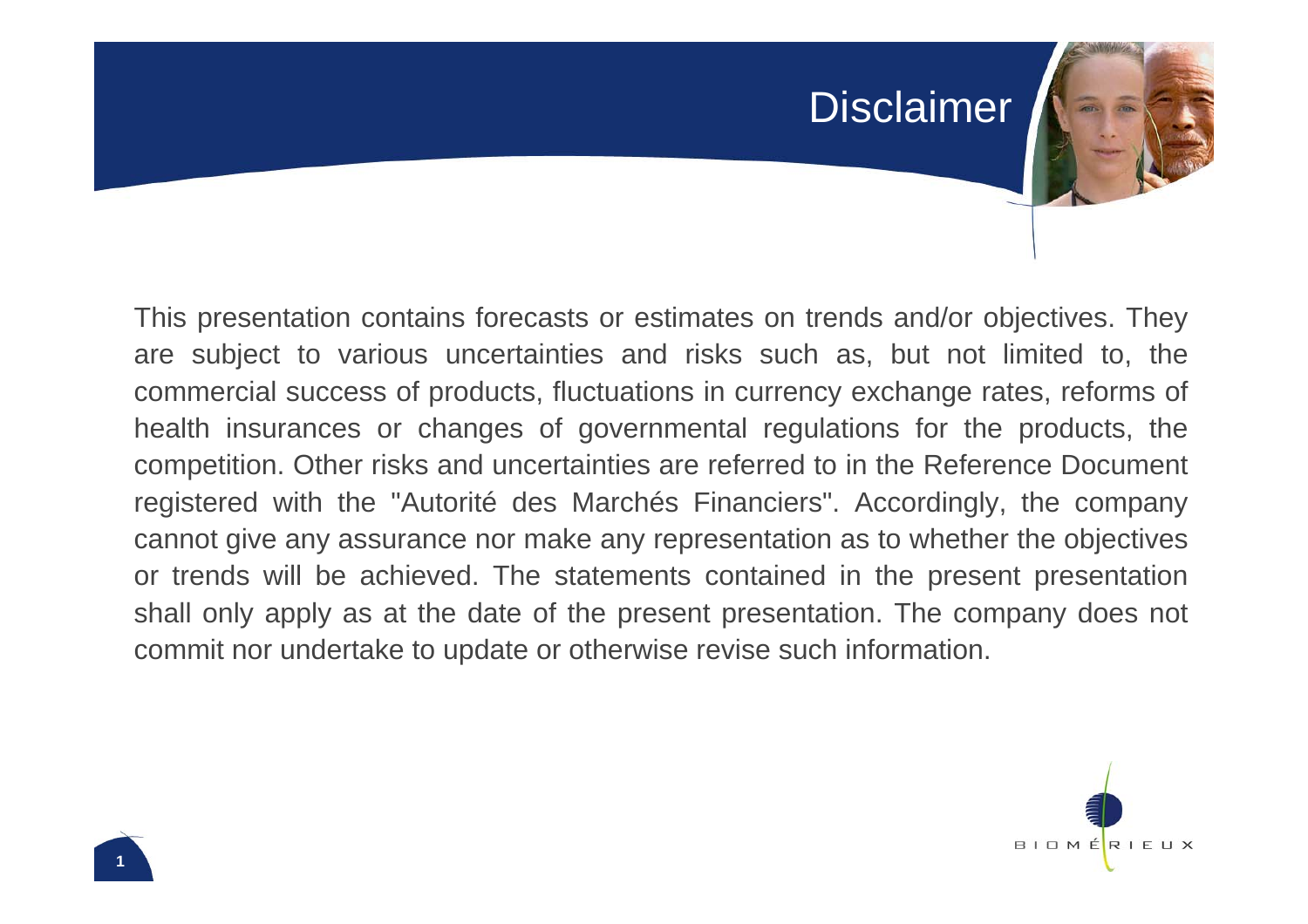#### Disclaimer

This presentation contains forecasts or estimates on trends and/or objectives. They are subject to various uncertainties and risks such as, but not limited to, the commercial success of products, fluctuations in currency exchange rates, reforms of health insurances or changes of governmental regulations for the products, the competition. Other risks and uncertainties are referred to in the Reference Document registered with the "Autorité des Marchés Financiers". Accordingly, the company cannot give any assurance nor make any representation as to whether the objectives or trends will be achieved. The statements contained in the present presentation shall only apply as at the date of the present presentation. The company does not commit nor undertake to update or otherwise revise such information.

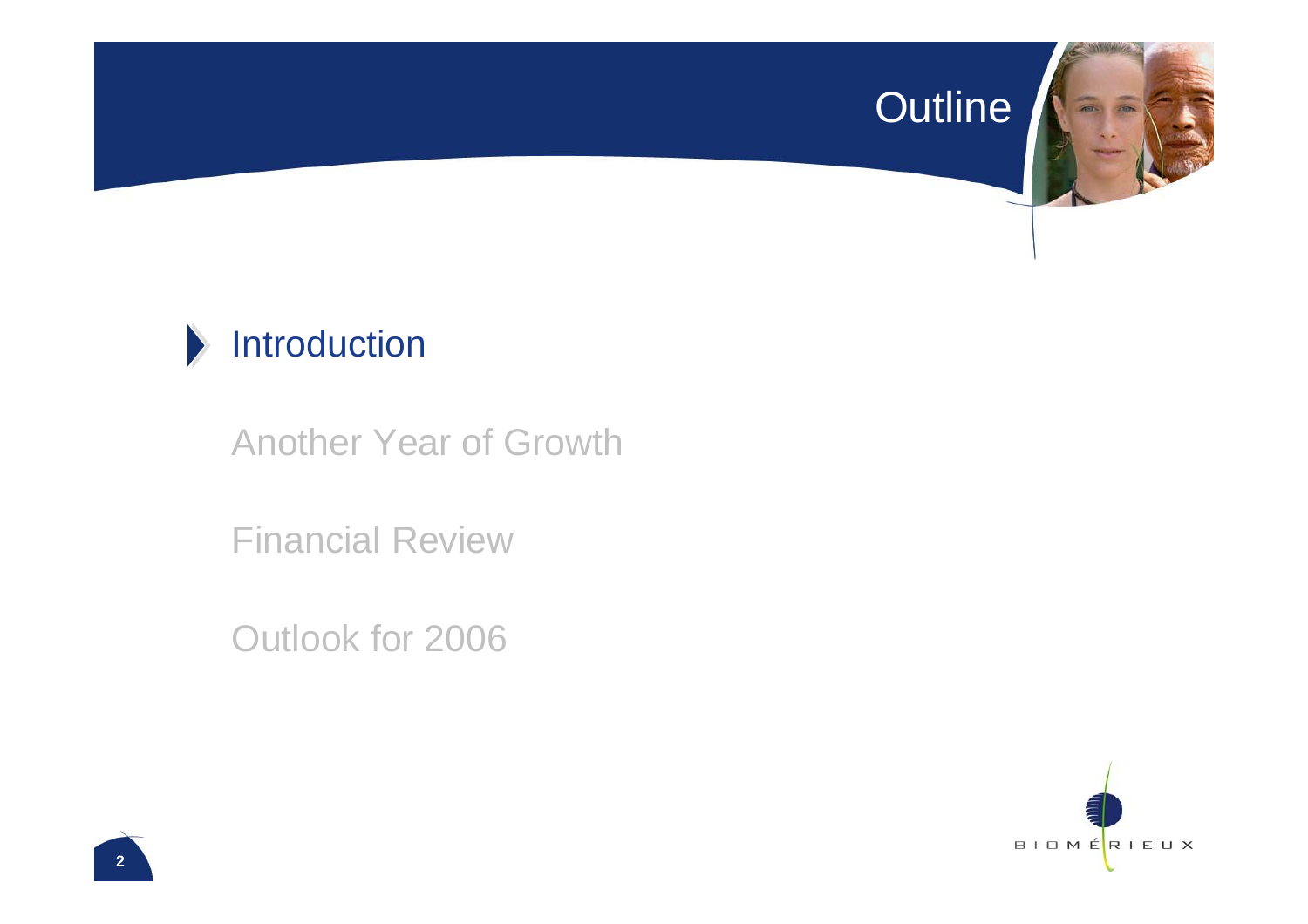#### Outline



#### $\blacktriangleright$ Introduction

Another Year of Growth

Financial Review

Outlook for 2006

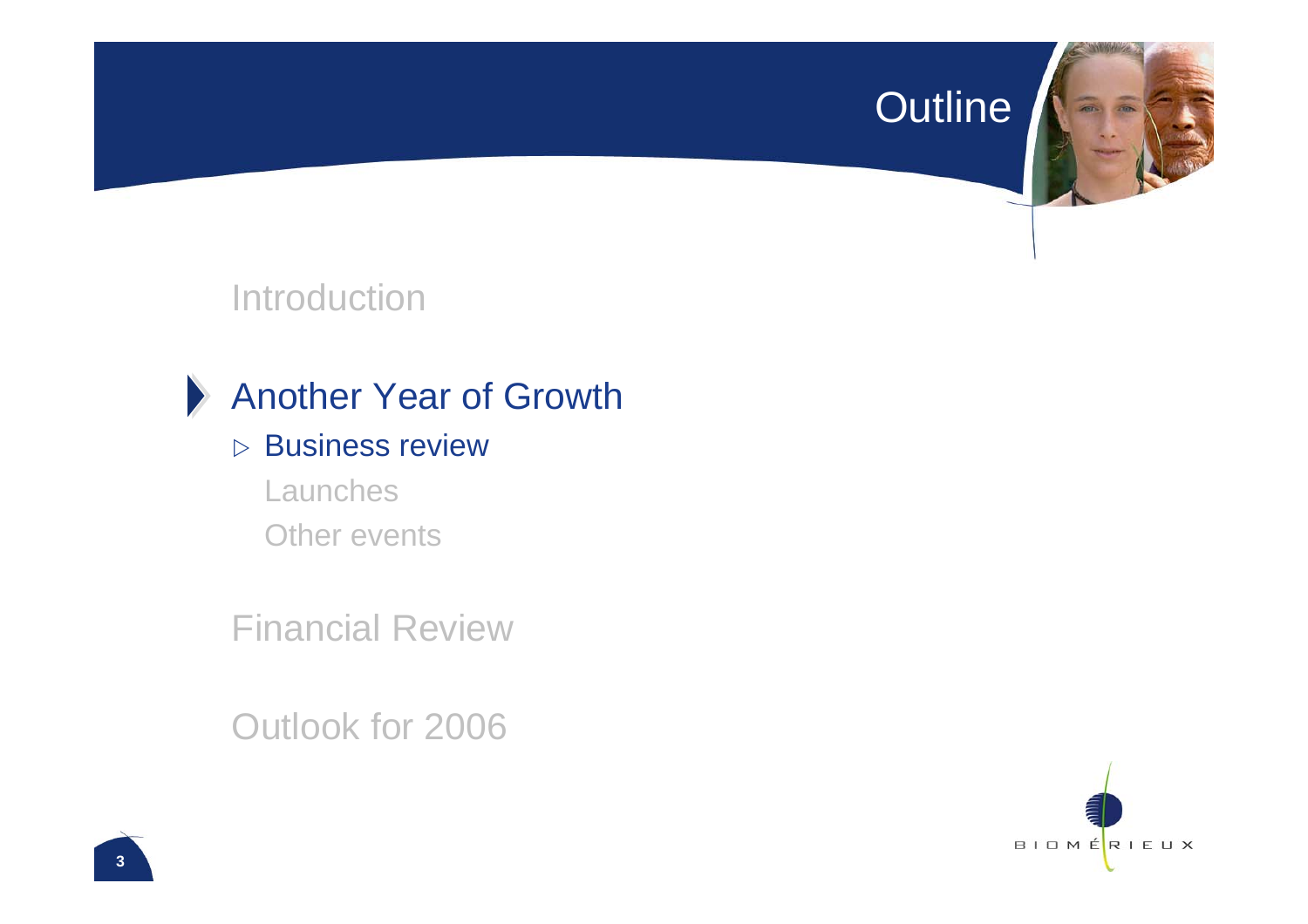#### Outline



#### Introduction



#### Another Year of Growth

- $\triangleright$  Business review
	- Launches Other events

Financial Review

Outlook for 2006

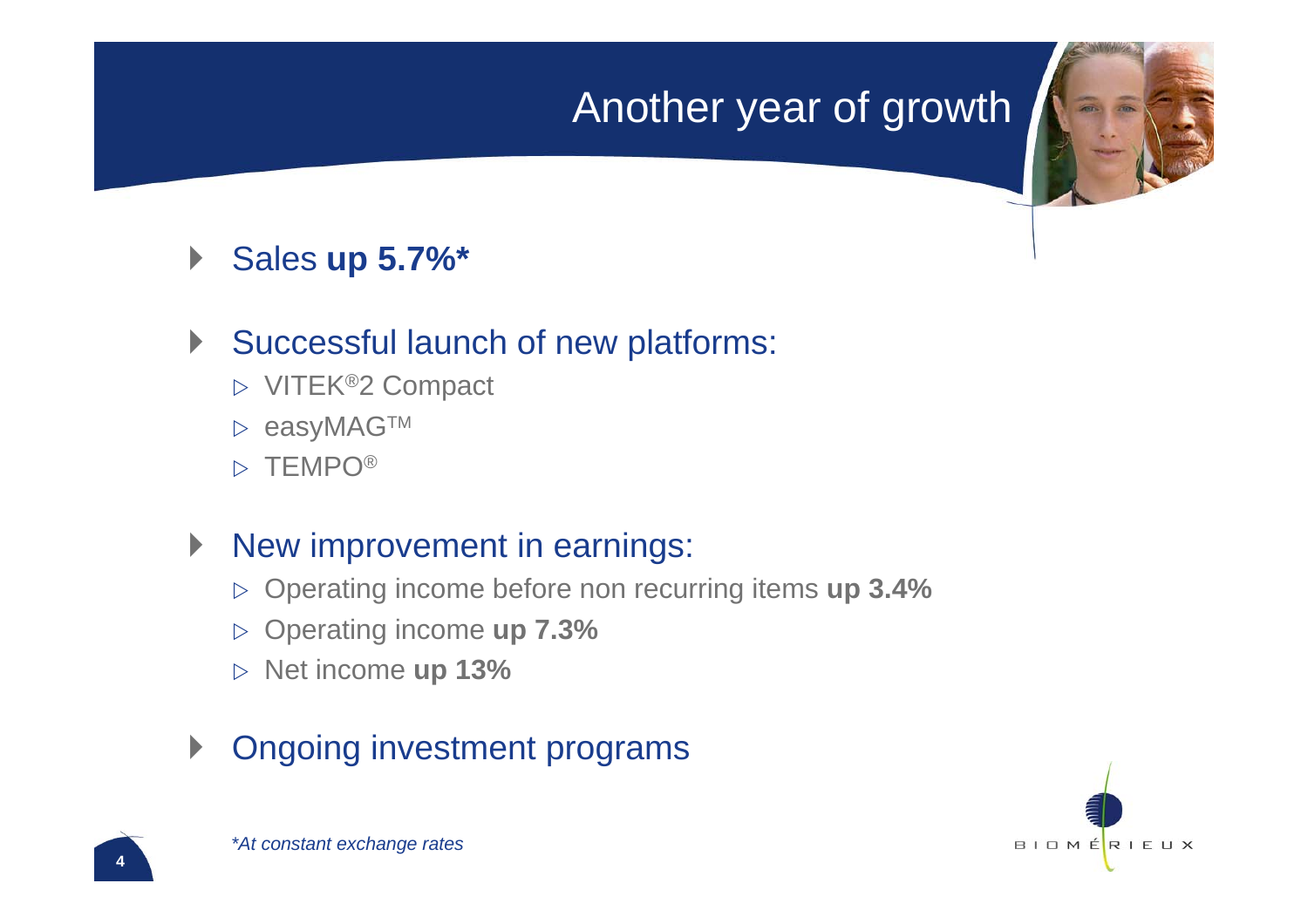### Another year of growth

 $\blacktriangleright$ Sales **up 5.7%\***

#### $\blacktriangleright$ Successful launch of new platforms:

- $\triangleright$  VITEK®2 Compact
- $\triangleright$  easyMAG™
- $\triangleright$  TEMPO®

#### $\blacktriangleright$ New improvement in earnings:

- ▷ Operating income before non recurring items u**p 3.4%**
- **▷ Operating income up 7.3%**
- $\triangleright$  Net income **up 13%**

#### $\blacktriangleright$ Ongoing investment programs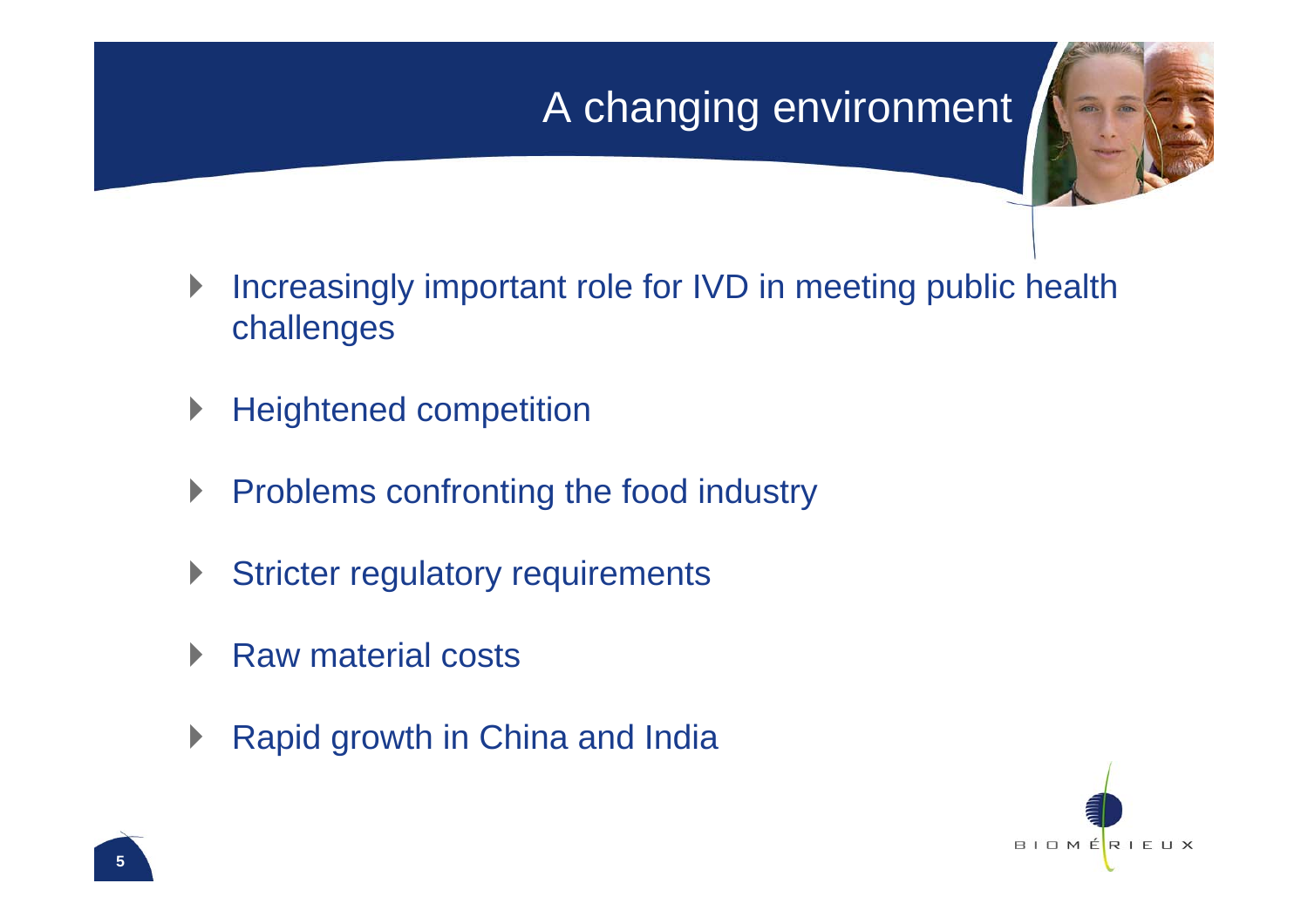## A changing environment



- $\blacktriangleright$  Increasingly important role for IVD in meeting public health challenges
- $\blacktriangleright$ Heightened competition
- $\blacktriangleright$ Problems confronting the food industry
- $\blacktriangleright$ Stricter regulatory requirements
- $\blacktriangleright$ Raw material costs
- $\blacktriangleright$ Rapid growth in China and India

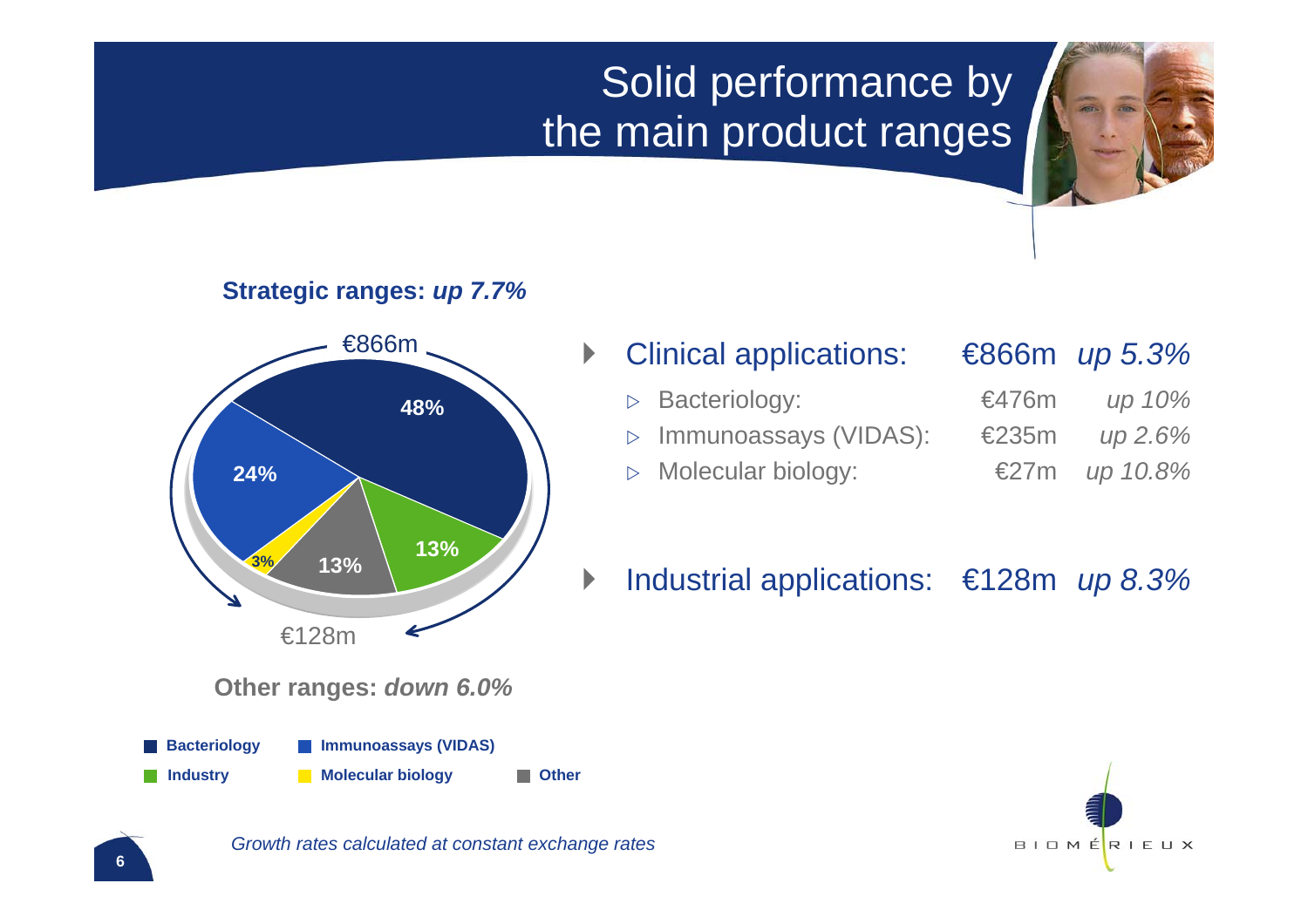## Solid performance by the main product ranges

**Strategic ranges:** *up 7.7%*



#### Clinical applications: €866m *up 5.3%*

 $\triangleright$ Bacteriology:

 $\blacktriangleright$ 

- $\triangleright$ Immunoassays (VIDAS): €235m *up 2.6%*
- $\triangleright$ Molecular biology:

| ≋476m          | up 10%      |
|----------------|-------------|
| £235m          | up 2.6%     |
| $\epsilon$ 27m | $\mu$ 10.8% |

#### $\blacktriangleright$ Industrial applications: €128m *up 8.3%*



**Other ranges:** *down 6.0%*

**Bacteriology Immunoassays (VIDAS)**

**Industry Molecular biology Department** 

*Growth rates calculated at constant exchange rates*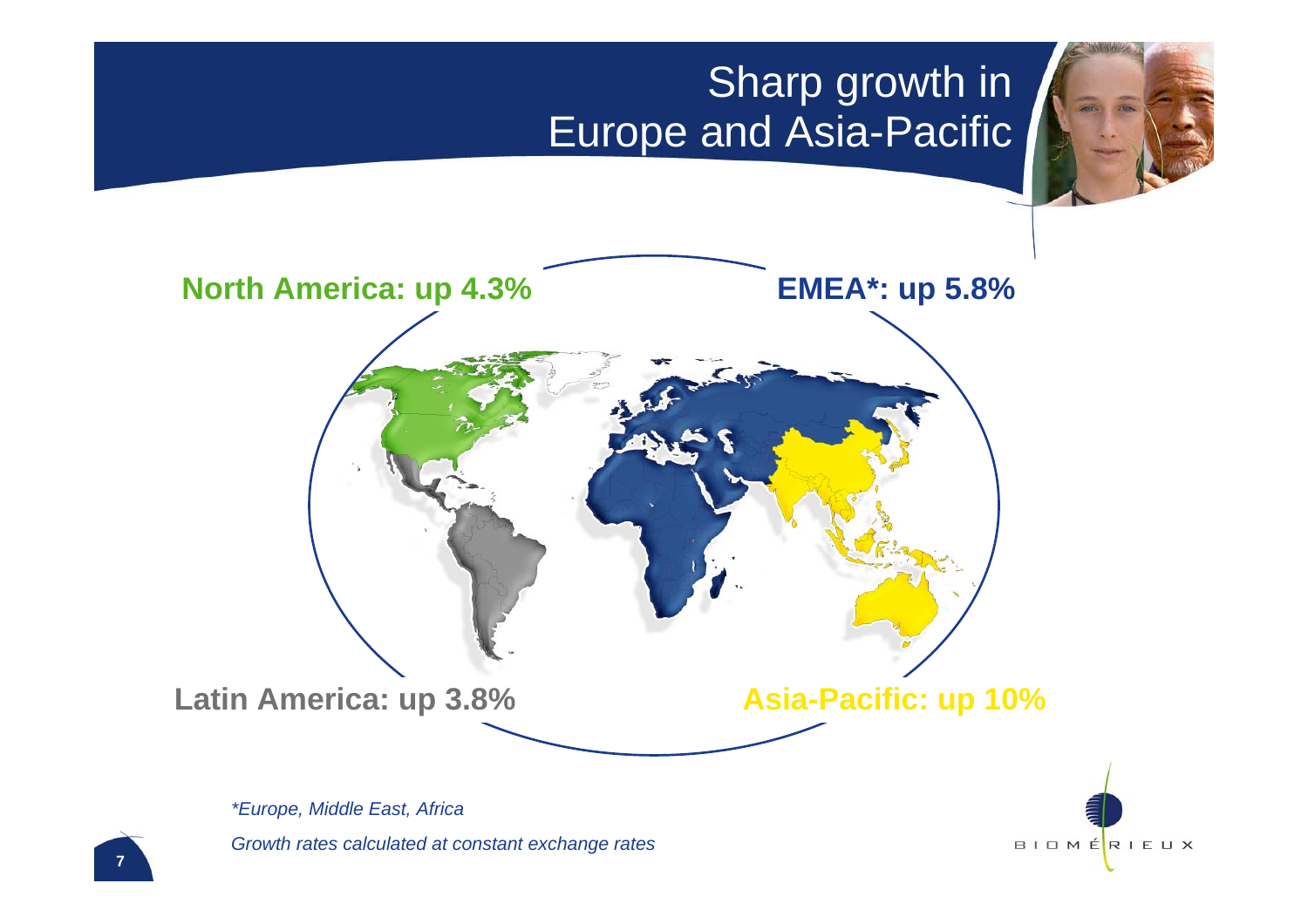### **Sharp growth in** Europe and Asia-Pacific



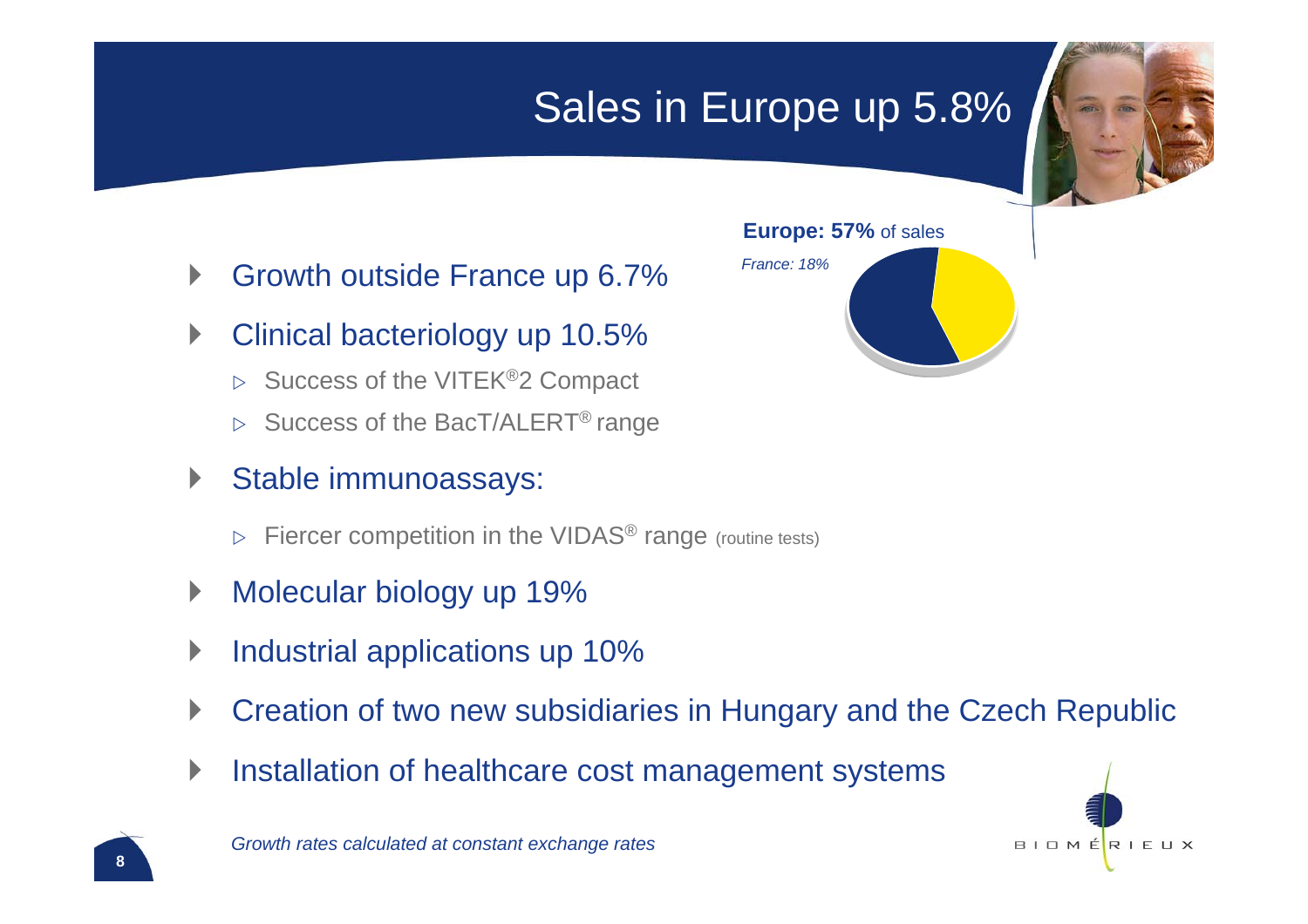## Sales in Europe up 5.8%



- $\blacktriangleright$ Growth outside France up 6.7%
- $\blacktriangleright$  Clinical bacteriology up 10.5%
	- $\triangleright$  Success of the VITEK®2 Compact
	- $\triangleright$  Success of the BacT/ALERT® range
- $\blacktriangleright$  Stable immunoassays:
	- $\triangleright$  Fiercer competition in the VIDAS® range (routine tests)
- $\blacktriangleright$ Molecular biology up 19%
- $\blacktriangleright$ Industrial applications up 10%
- $\blacktriangleright$ Creation of two new subsidiaries in Hungary and the Czech Republic
- $\blacktriangleright$ Installation of healthcare cost management systems



*Growth rates calculated at constant exchange rates*



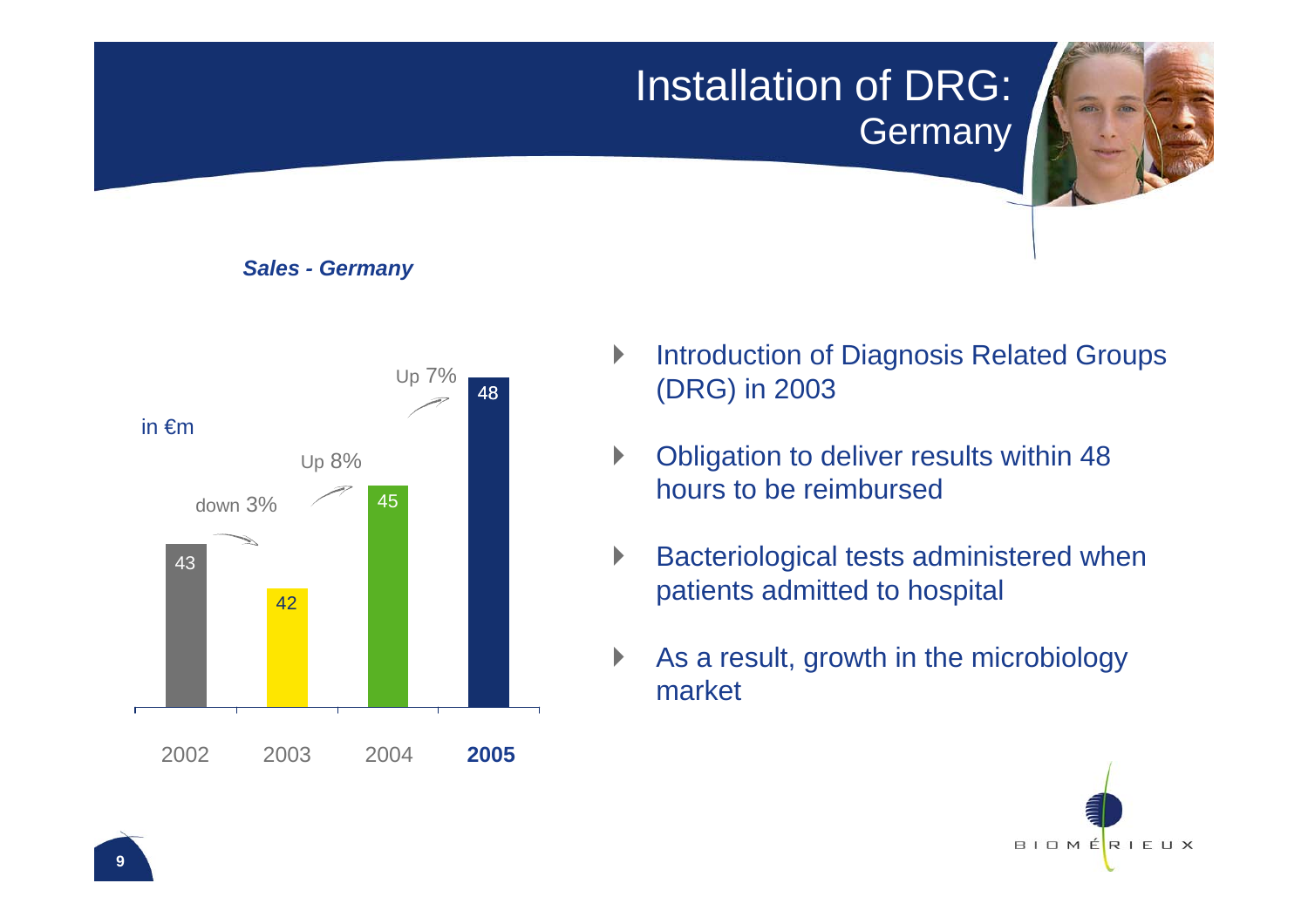Installation of DRG: Germany



#### *Sales - Germany*



- $\blacktriangleright$  Introduction of Diagnosis Related Groups (DRG) in 2003
- $\blacktriangleright$  Obligation to deliver results within 48 hours to be reimbursed
- $\blacktriangleright$  Bacteriological tests administered when patients admitted to hospital
- $\blacktriangleright$  As a result, growth in the microbiology market

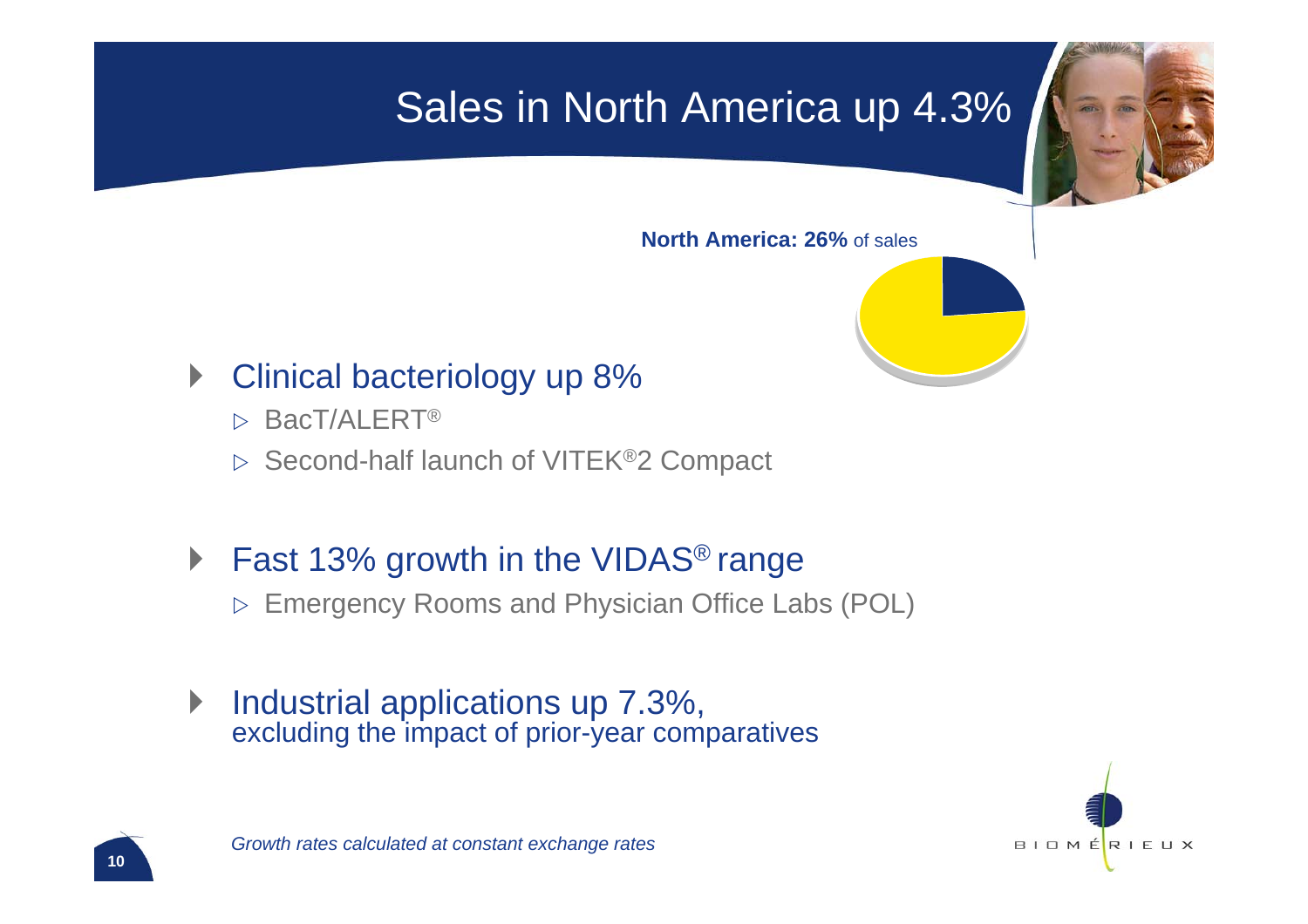## Sales in North America up 4.3%



**North America: 26%** of sales

#### $\blacktriangleright$ Clinical bacteriology up 8%

- $\triangleright$  BacT/ALERT®
- $\triangleright$  Second-half launch of VITEK®2 Compact
- $\blacktriangleright$  Fast 13% growth in the VIDAS® range  $\triangleright$  Emergency Rooms and Physician Office Labs (POL)
- $\blacktriangleright$  Industrial applications up 7.3%, excluding the impact of prior-year comparatives

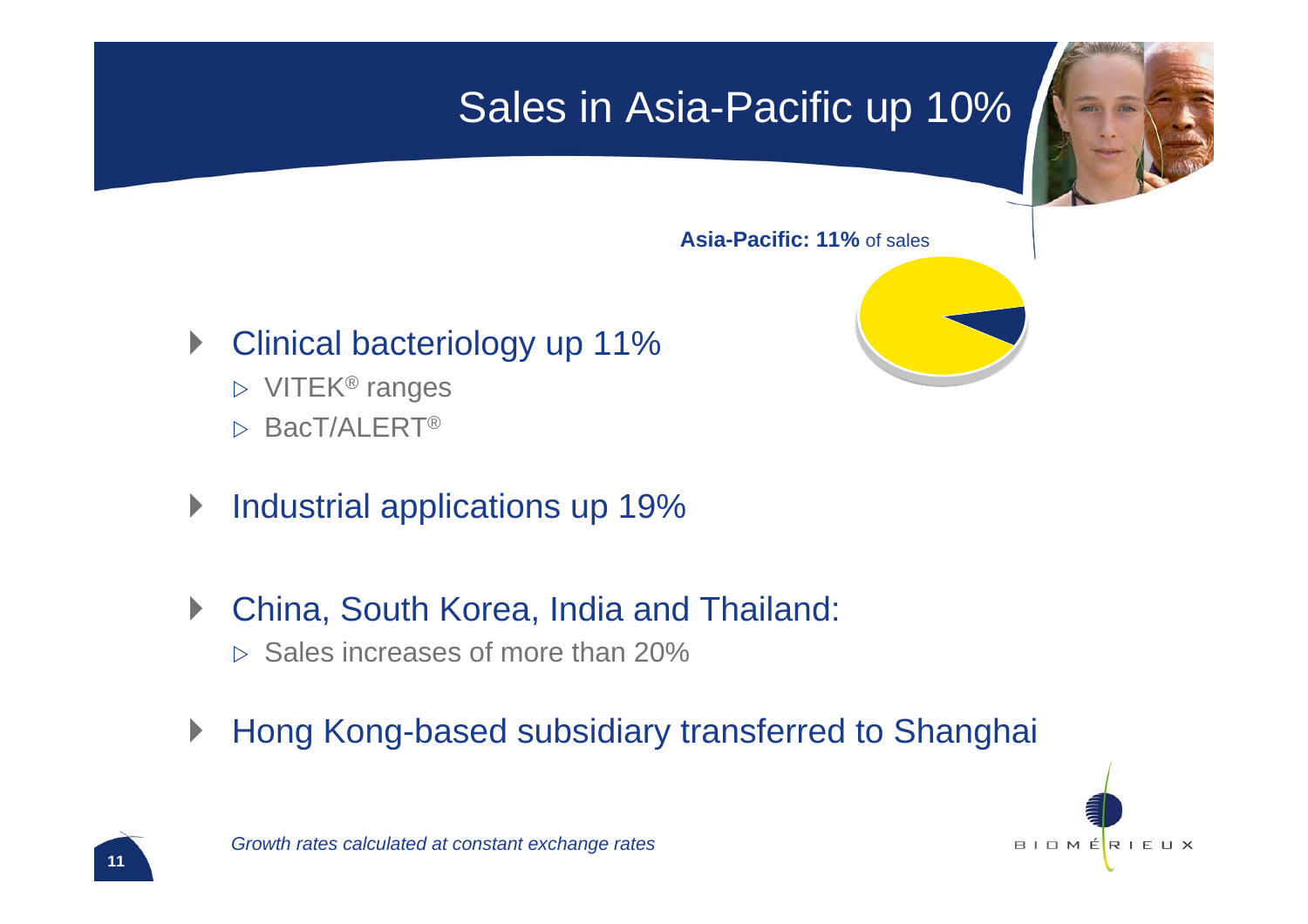## Sales in Asia-Pacific up 10%



**Asia-Pacific: 11%** of sales

- **Clinical bacteriology up 11%** 
	- $\triangleright$  VITEK<sup>®</sup> ranges
	- $\triangleright$  BacT/ALERT®
- $\blacktriangleright$ Industrial applications up 19%
- $\blacktriangleright$  China, South Korea, India and Thailand:
	- $\triangleright$  Sales increases of more than 20%
- $\blacktriangleright$ Hong Kong-based subsidiary transferred to Shanghai

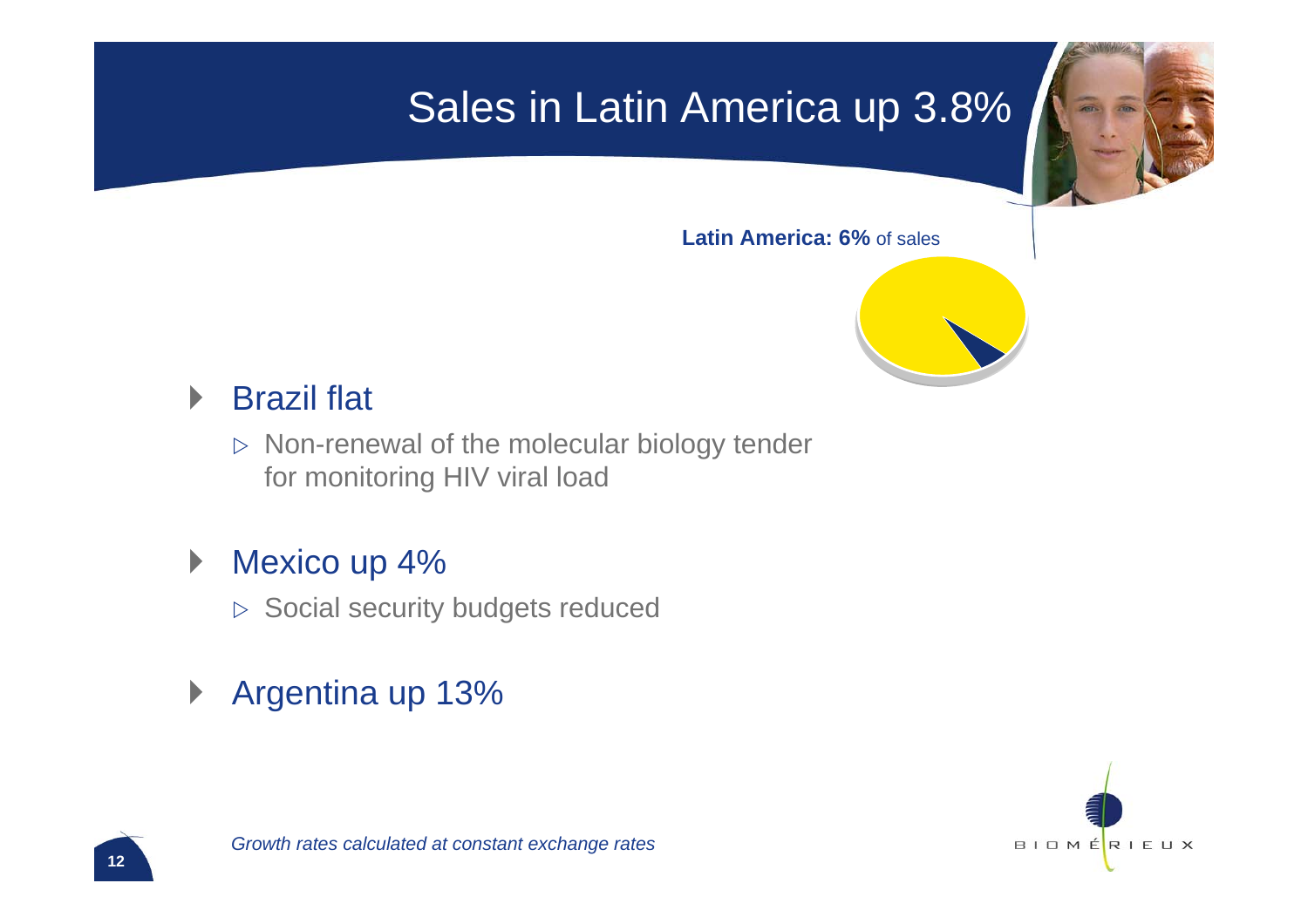## Sales in Latin America up 3.8%



**Latin America: 6%** of sales



#### $\blacktriangleright$ Brazil flat

 $\triangleright$  Non-renewal of the molecular biology tender for monitoring HIV viral load

#### $\blacktriangleright$ Mexico up 4%

- $\triangleright$  Social security budgets reduced
- $\blacktriangleright$ Argentina up 13%

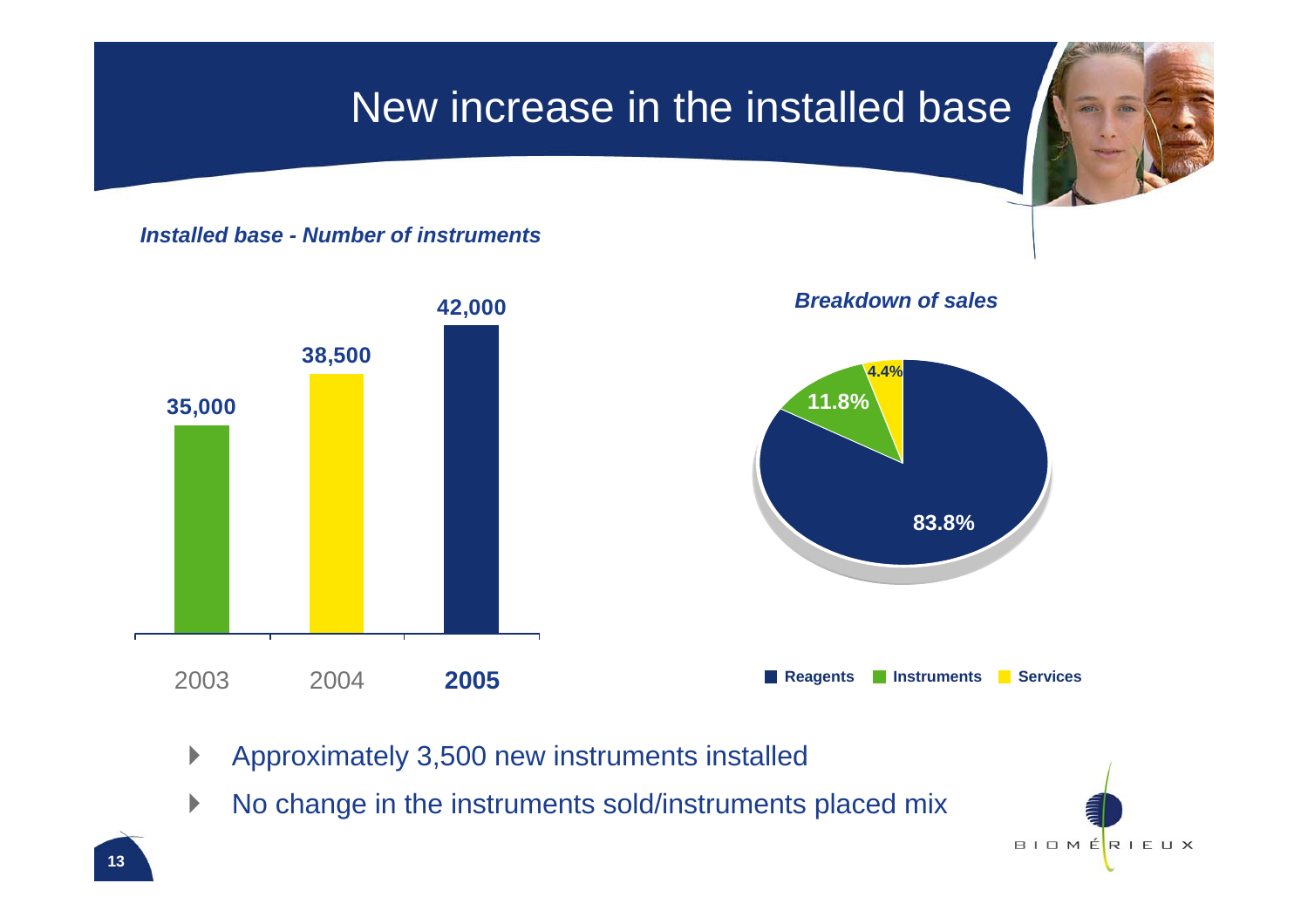### New increase in the installed base

*Installed base - Number of instruments*



- $\blacktriangleright$ Approximately 3,500 new instruments installed
- $\blacktriangleright$ No change in the instruments sold/instruments placed mix

 $B$ I O M ÉRIEUX

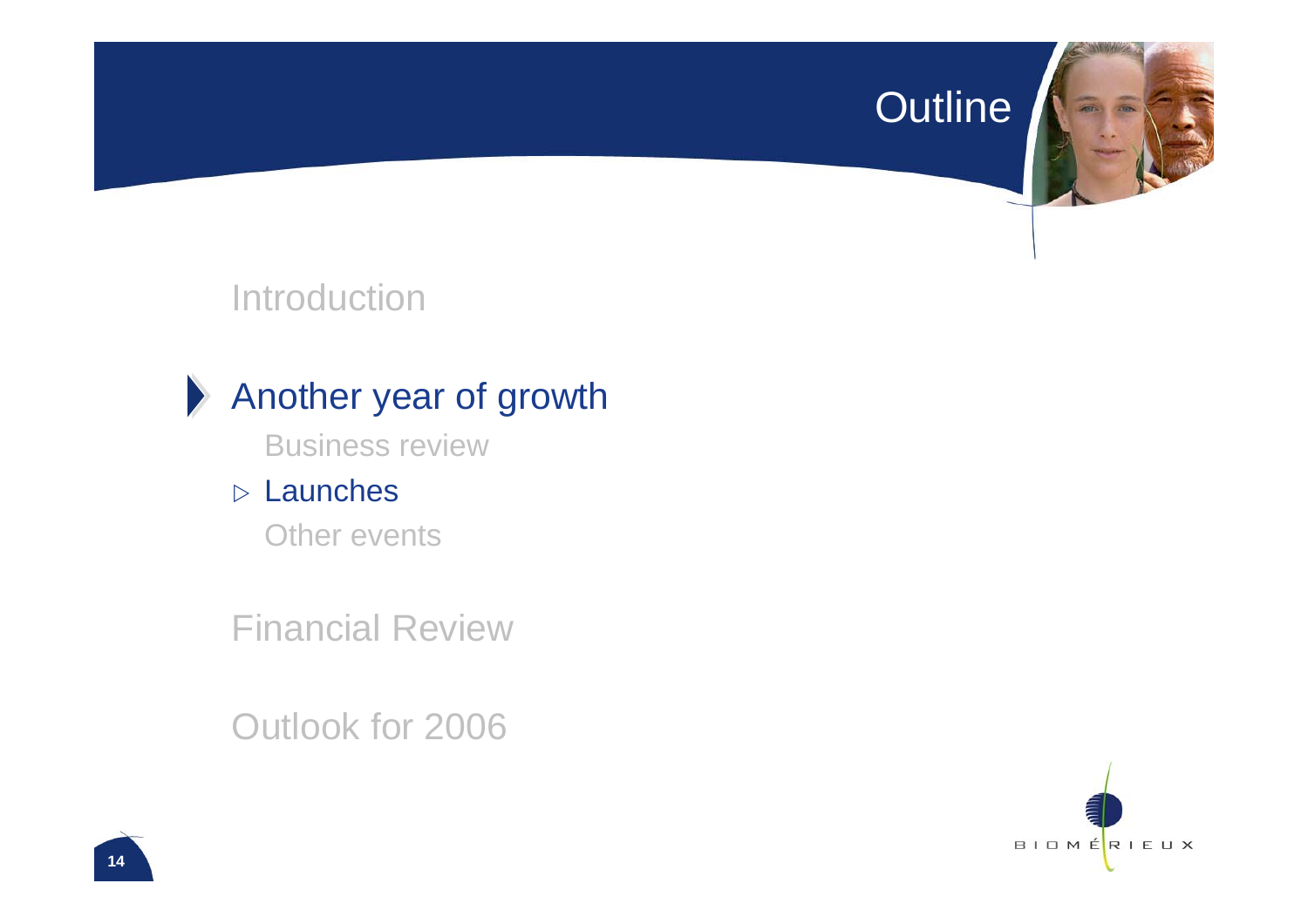#### Outline



#### Introduction



#### Another year of growth

Business review

#### $\triangleright$  Launches

Other events

Financial Review

Outlook for 2006

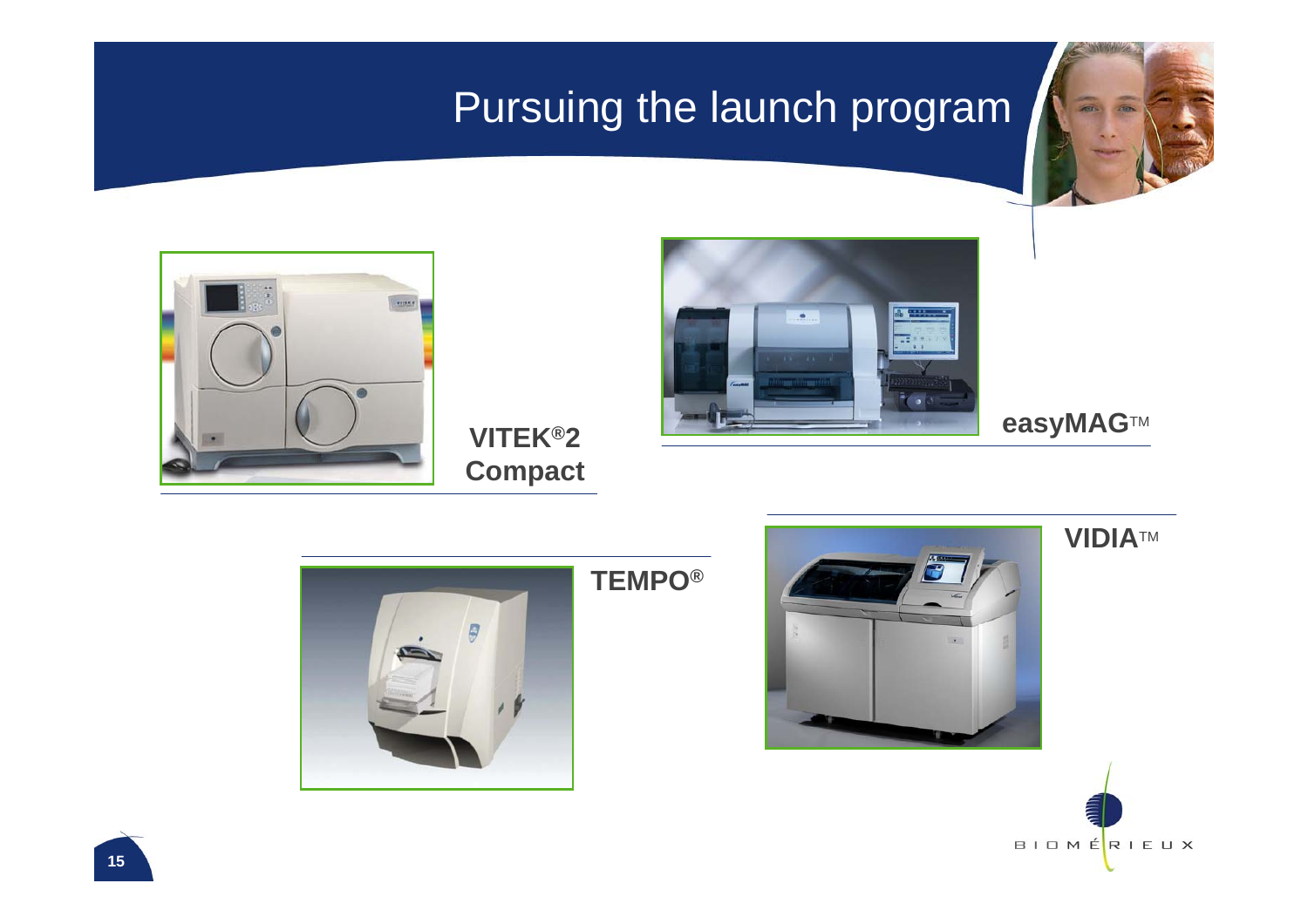## Pursuing the launch program





#### VITEK®2 **Compact**



**easyMAG**™







#### **VIDIA**TM

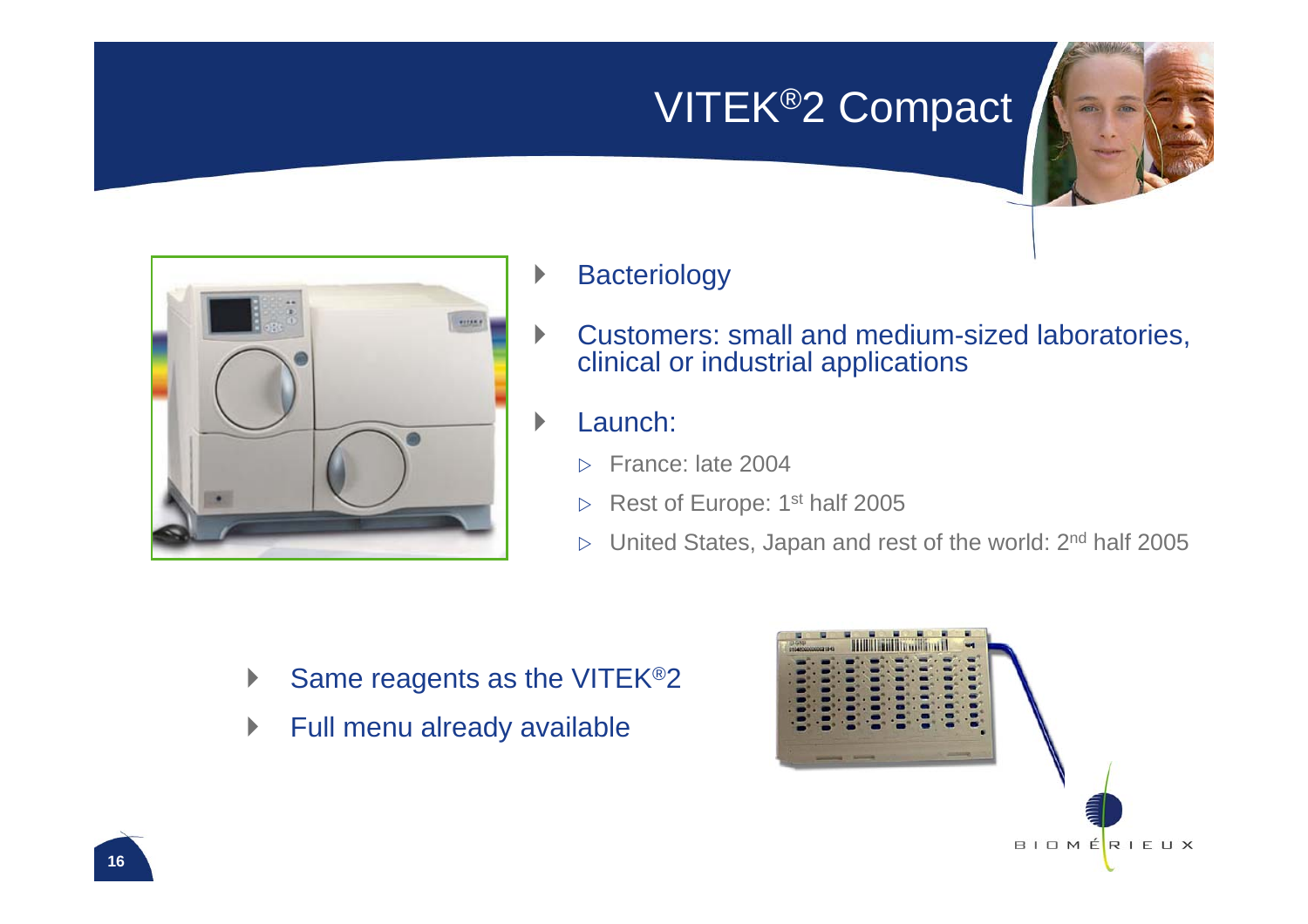## VITEK®2 Compact



- `**Bacteriology**
- $\blacktriangleright$  Customers: small and medium-sized laboratories, clinical or industrial applications
- $\blacktriangleright$  Launch:
	- $\triangleright$ France: late 2004
	- $\triangleright$ Rest of Europe: 1<sup>st</sup> half 2005
	- $\triangleright$ United States, Japan and rest of the world: 2nd half 2005

- $\blacktriangleright$ Same reagents as the VITEK®2
- $\blacktriangleright$ Full menu already available

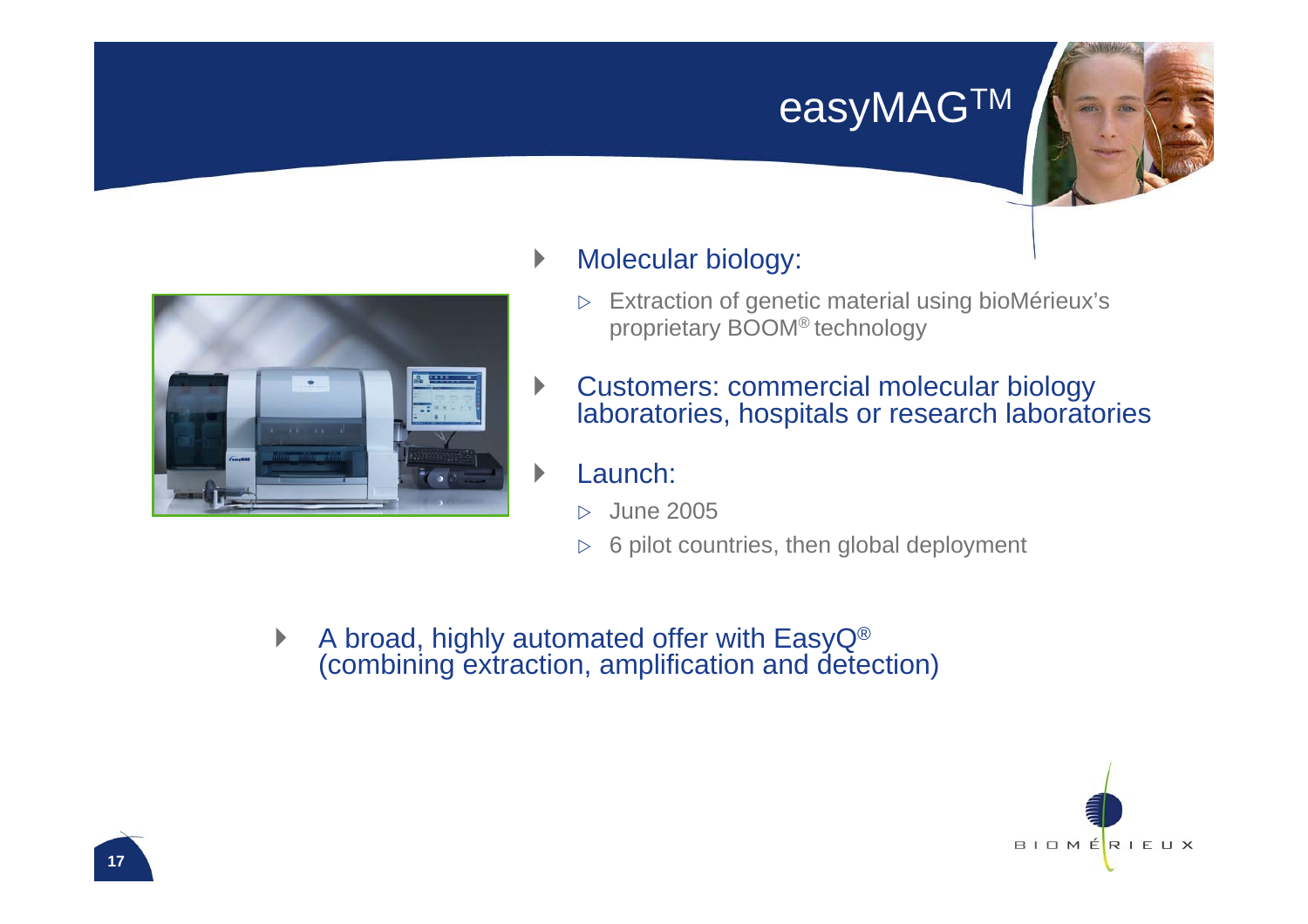## easyMAGTM





#### $\blacktriangleright$ Molecular biology:

- $\triangleright$  Extraction of genetic material using bioMérieux's proprietary BOOM® technology
- $\blacktriangleright$  Customers: commercial molecular biology laboratories, hospitals or research laboratories

#### Launch:

- $\triangleright$ June 2005
- $\triangleright$ 6 pilot countries, then global deployment
- $\blacktriangleright$  A broad, highly automated offer with EasyQ® (combining extraction, amplification and detection)

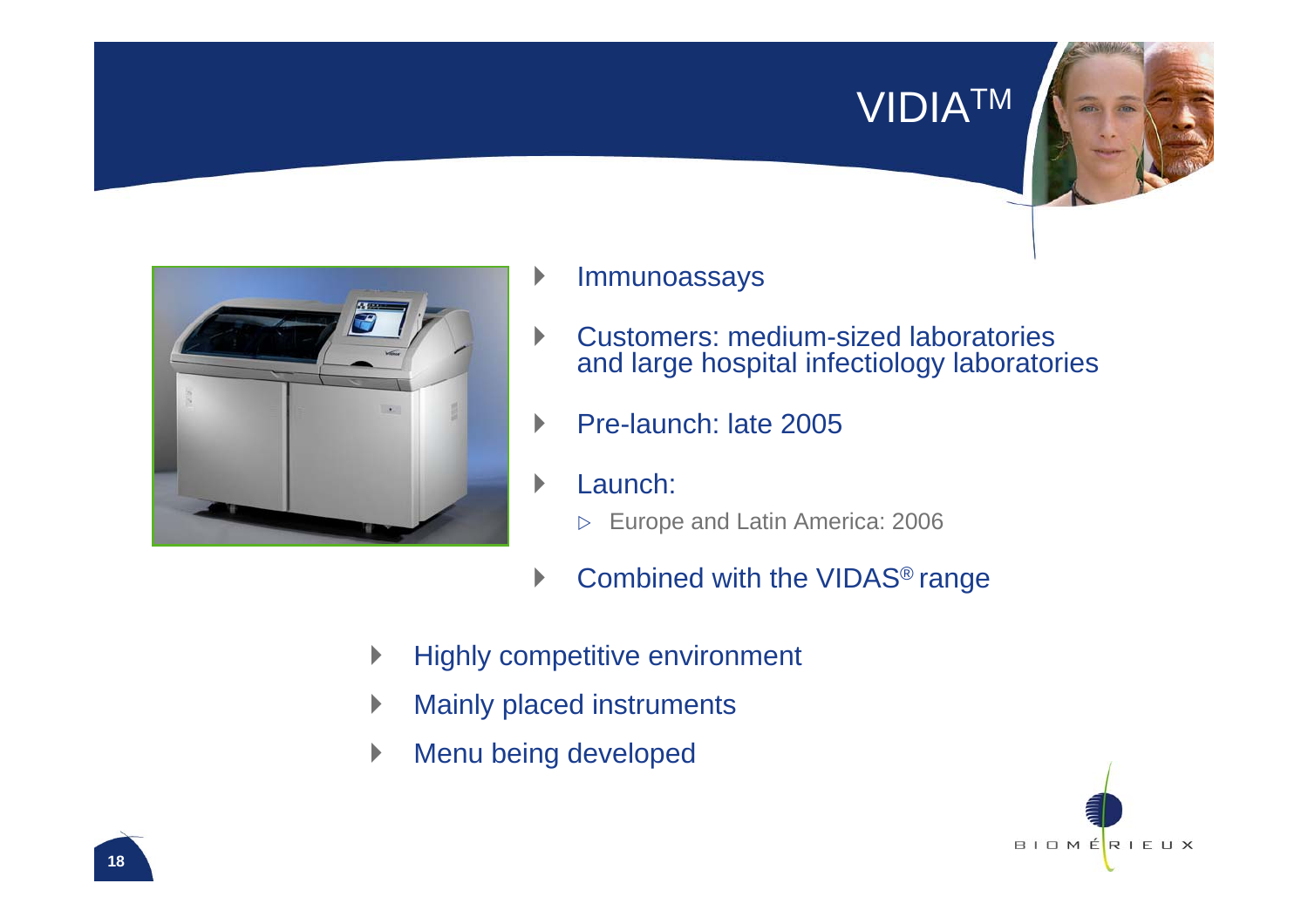#### VIDIATM



- `Immunoassays
- $\blacktriangleright$  Customers: medium-sized laboratories and large hospital infectiology laboratories
- $\mathbf b$ Pre-launch: late 2005
- $\blacktriangleright$  Launch:
	- $\triangleright$ Europe and Latin America: 2006
- $\blacktriangleright$ Combined with the VIDAS® range
- $\blacktriangleright$ Highly competitive environment
- $\blacktriangleright$ Mainly placed instruments
- $\blacktriangleright$ Menu being developed

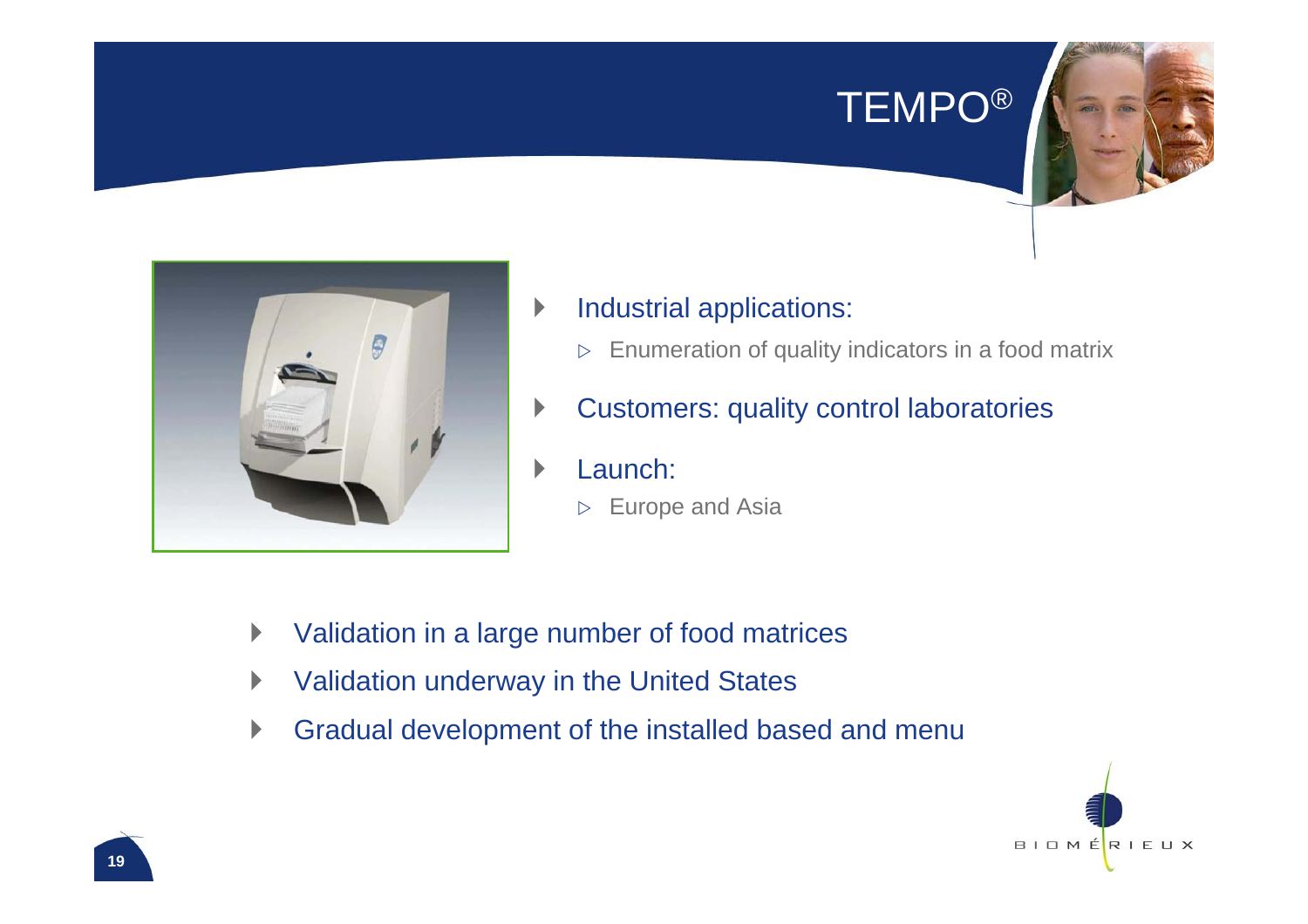### TEMPO®



- $\blacktriangleright$  Industrial applications:
	- $\triangleright$ Enumeration of quality indicators in a food matrix
- $\blacktriangleright$ Customers: quality control laboratories
- $\blacktriangleright$  Launch:
	- $\triangleright$ Europe and Asia

- $\blacktriangleright$ Validation in a large number of food matrices
- $\blacktriangleright$ Validation underway in the United States
- $\blacktriangleright$ Gradual development of the installed based and menu

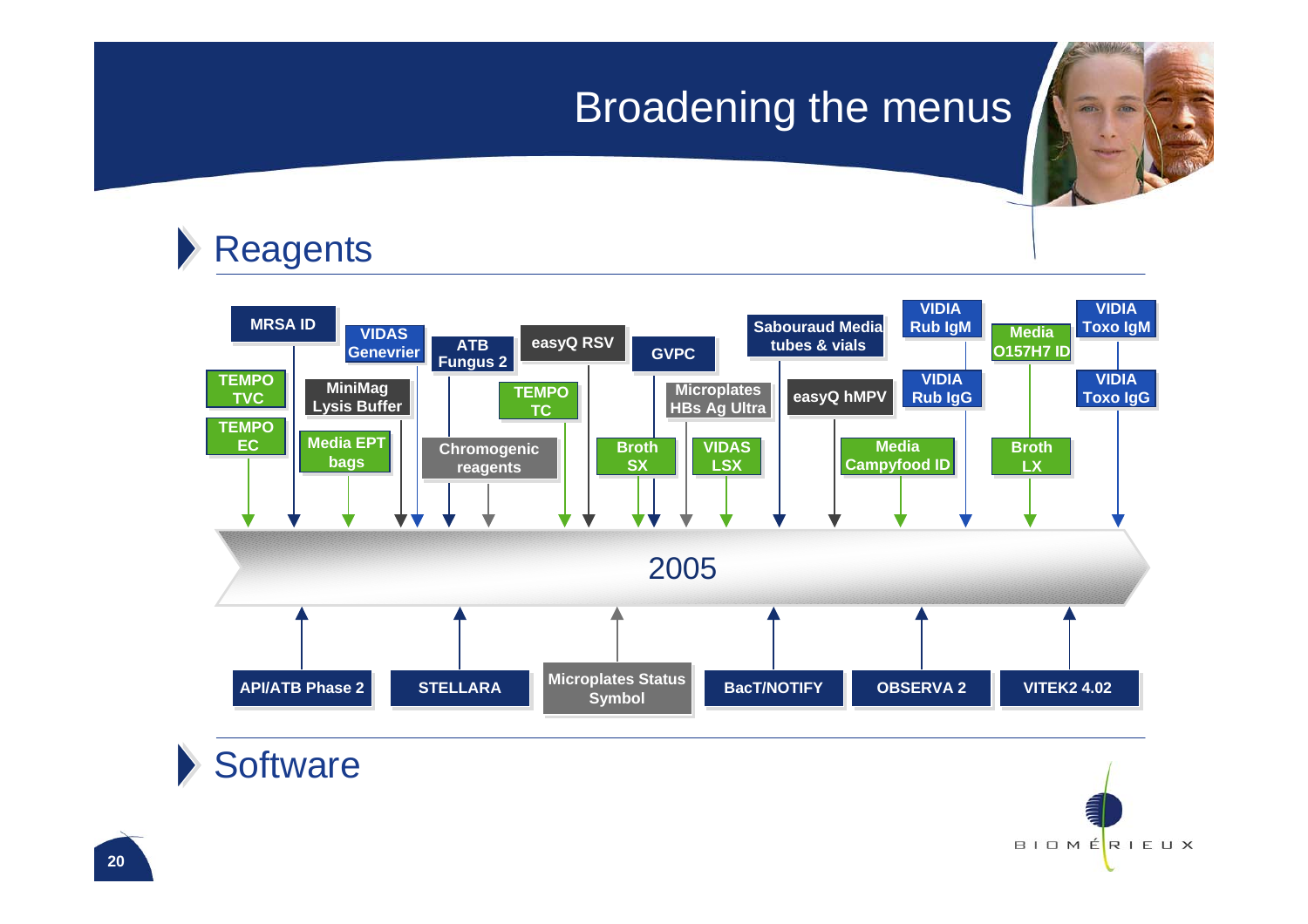### Broadening the menus





#### **Software**

BIOMÉRIEUX

**SAN AVENUE**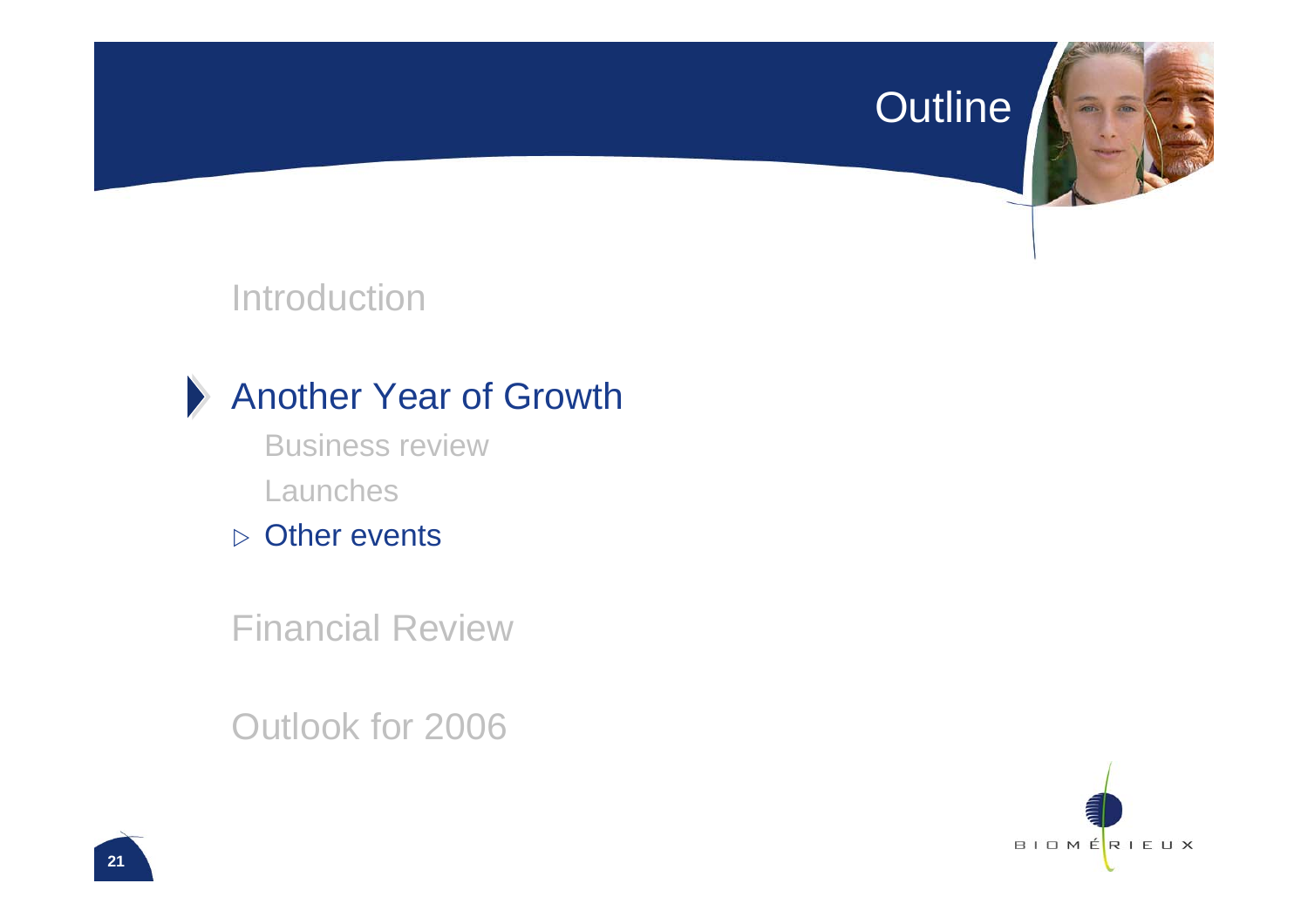#### Outline



#### Introduction



#### Another Year of Growth

Business reviewLaunches

 $\triangleright$  Other events

Financial Review

Outlook for 2006

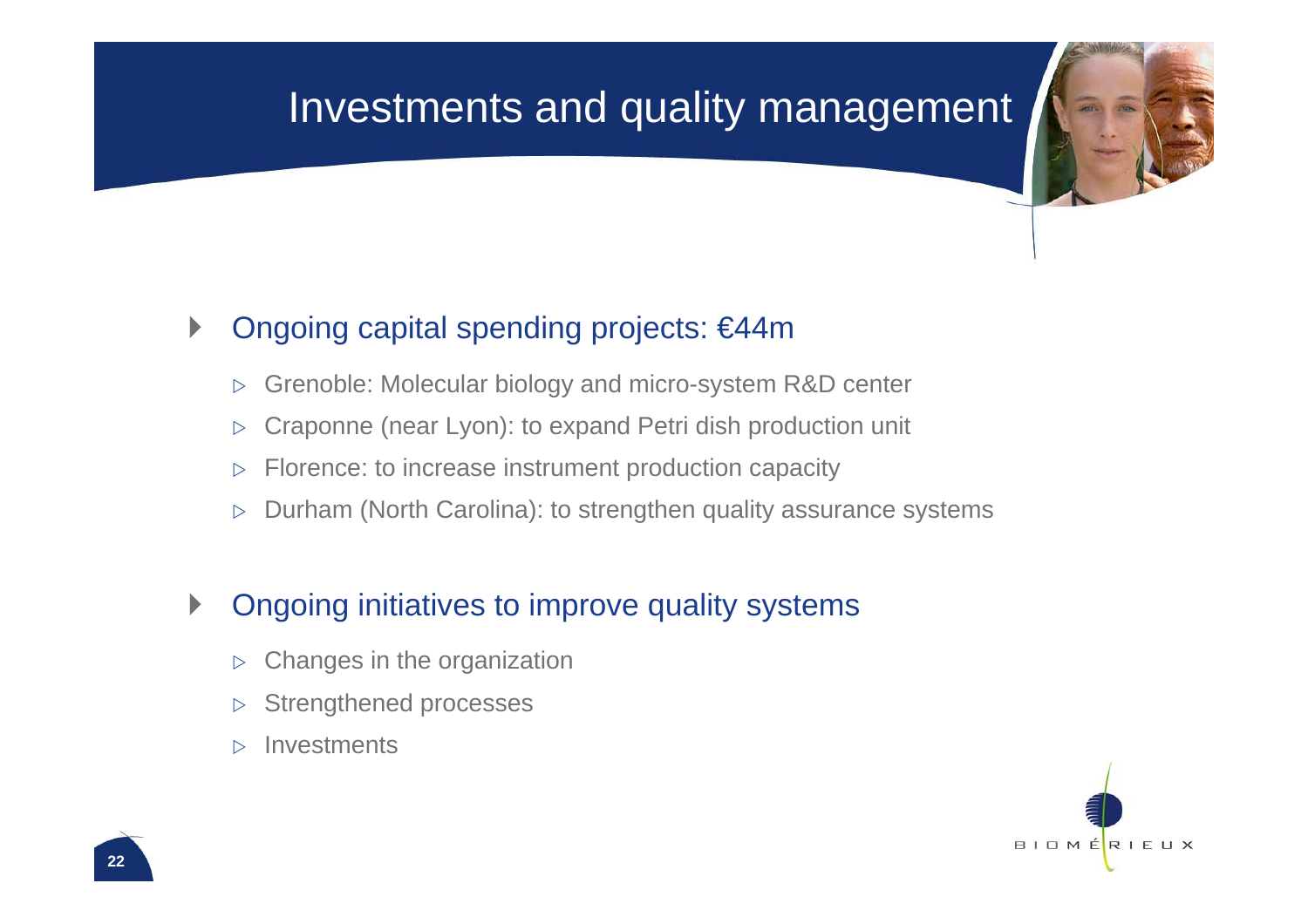### Investments and quality management

#### $\blacktriangleright$ Ongoing capital spending projects: €44m

- $\triangleright$ Grenoble: Molecular biology and micro-system R&D center
- $\triangleright$ Craponne (near Lyon): to expand Petri dish production unit
- $\triangleright$ Florence: to increase instrument production capacity
- $\triangleright$ Durham (North Carolina): to strengthen quality assurance systems

#### $\blacktriangleright$ Ongoing initiatives to improve quality systems

- $\triangleright$ Changes in the organization
- $\triangleright$ Strengthened processes
- $\triangleright$ **Investments**

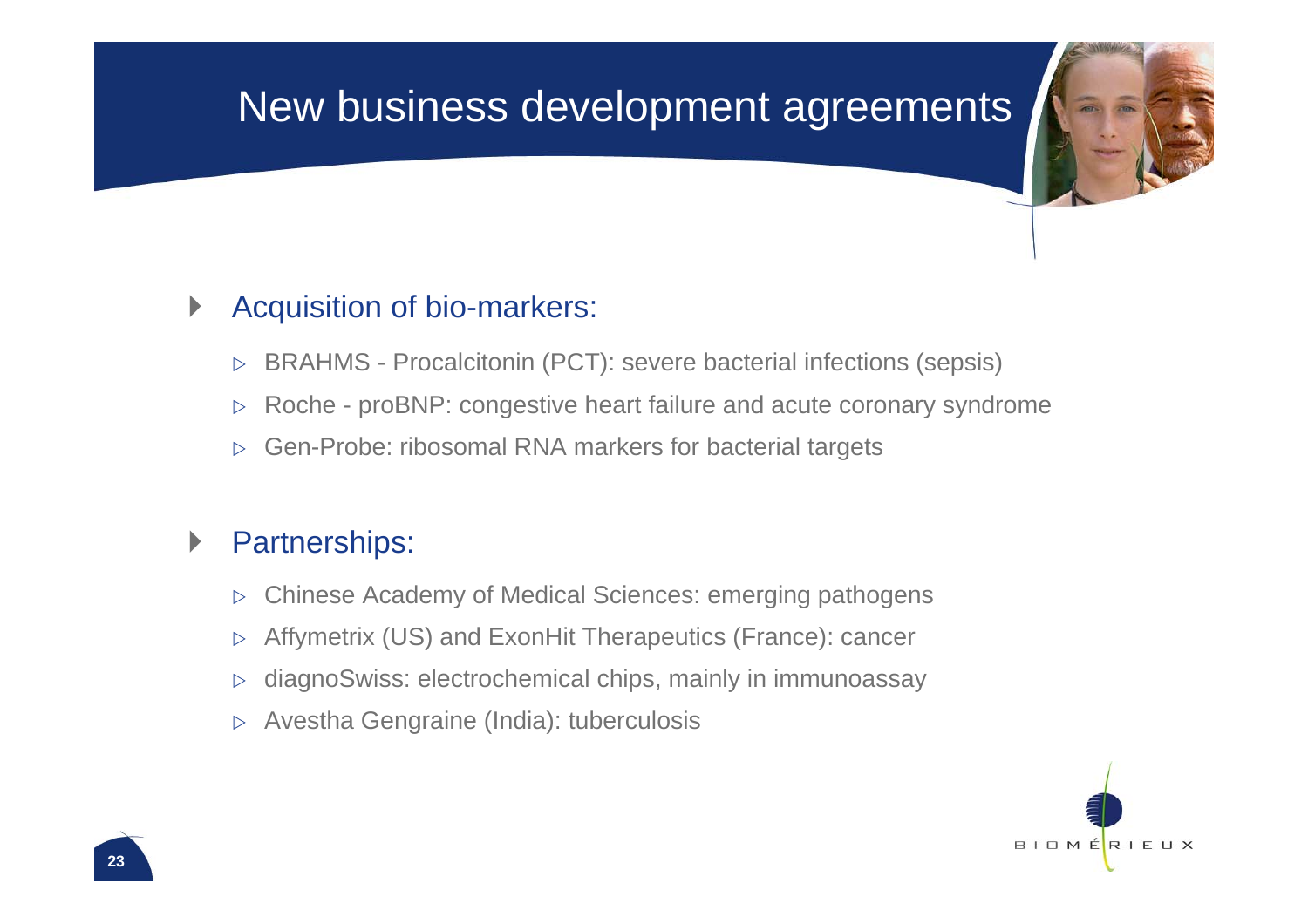### New business development agreements

#### $\blacktriangleright$ Acquisition of bio-markers:

- $\triangleright$ BRAHMS - Procalcitonin (PCT): severe bacterial infections (sepsis)
- $\triangleright$ Roche - proBNP: congestive heart failure and acute coronary syndrome
- $\triangleright$ Gen-Probe: ribosomal RNA markers for bacterial targets

#### $\blacktriangleright$ Partnerships:

- $\triangleright$ Chinese Academy of Medical Sciences: emerging pathogens
- $\triangleright$ Affymetrix (US) and ExonHit Therapeutics (France): cancer
- $\triangleright$ diagnoSwiss: electrochemical chips, mainly in immunoassay
- $\triangleright$ Avestha Gengraine (India): tuberculosis

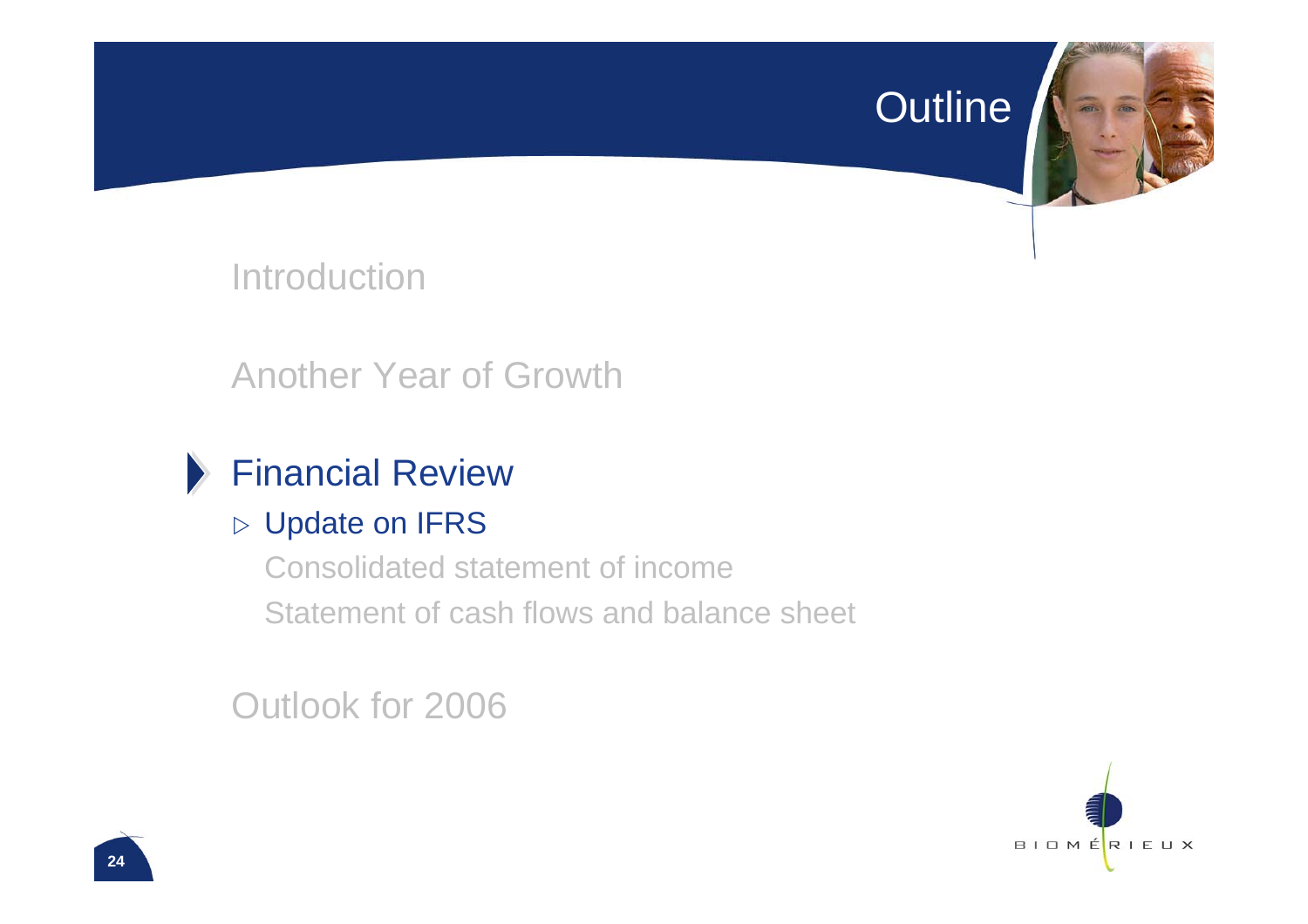#### Outline

**Introduction** 

Another Year of Growth

#### Financial Review

#### $\triangleright$  Update on IFRS

Consolidated statement of incomeStatement of cash flows and balance sheet

Outlook for 2006

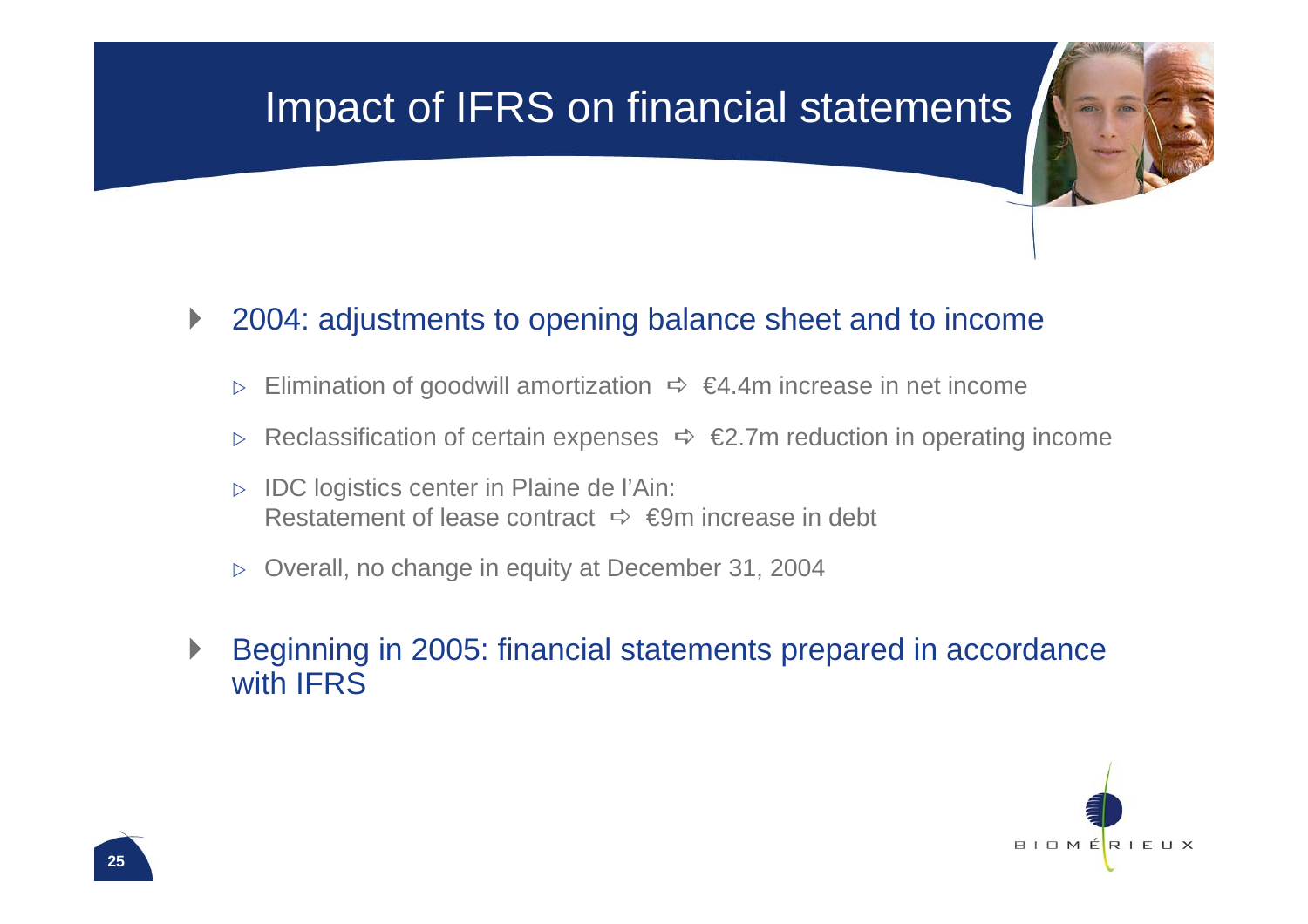## Impact of IFRS on financial statements

#### $\blacktriangleright$ 2004: adjustments to opening balance sheet and to income

- $\triangleright$ Elimination of goodwill amortization  $\Rightarrow$   $\in$ 4.4m increase in net income
- $\triangleright$ Reclassification of certain expenses  $\Rightarrow \Leftrightarrow$   $\Leftrightarrow$  7m reduction in operating income
- $\triangleright$  IDC logistics center in Plaine de l'Ain: Restatement of lease contract  $\;\Rightarrow\; \infty$ m increase in debt
- $\triangleright$  Overall, no change in equity at December 31, 2004
- $\blacktriangleright$  Beginning in 2005: financial statements prepared in accordance with IFRS

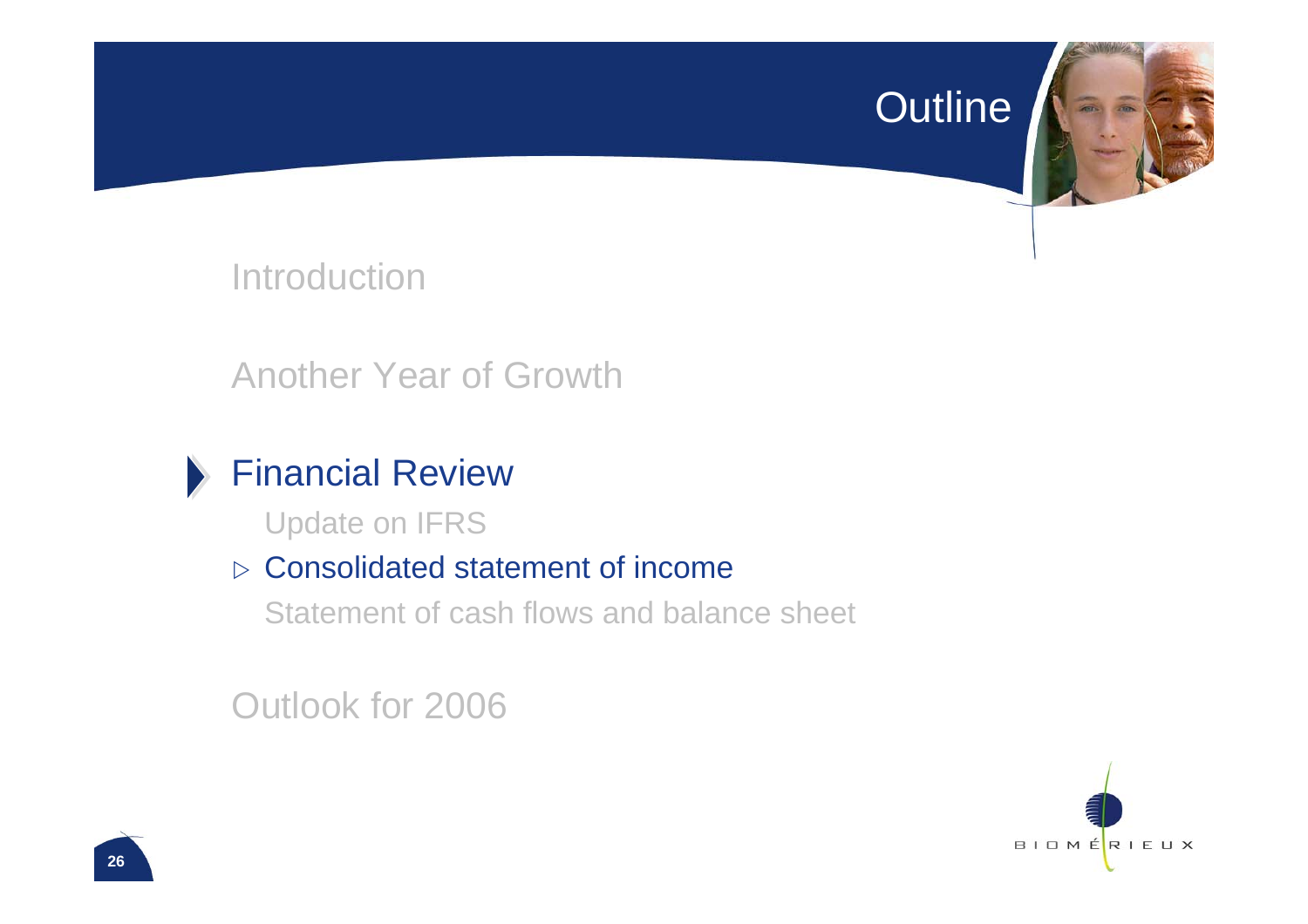#### Outline

**Introduction** 

Another Year of Growth

#### Financial Review

Update on IFRS

#### $\triangleright$  Consolidated statement of income

Statement of cash flows and balance sheet

Outlook for 2006

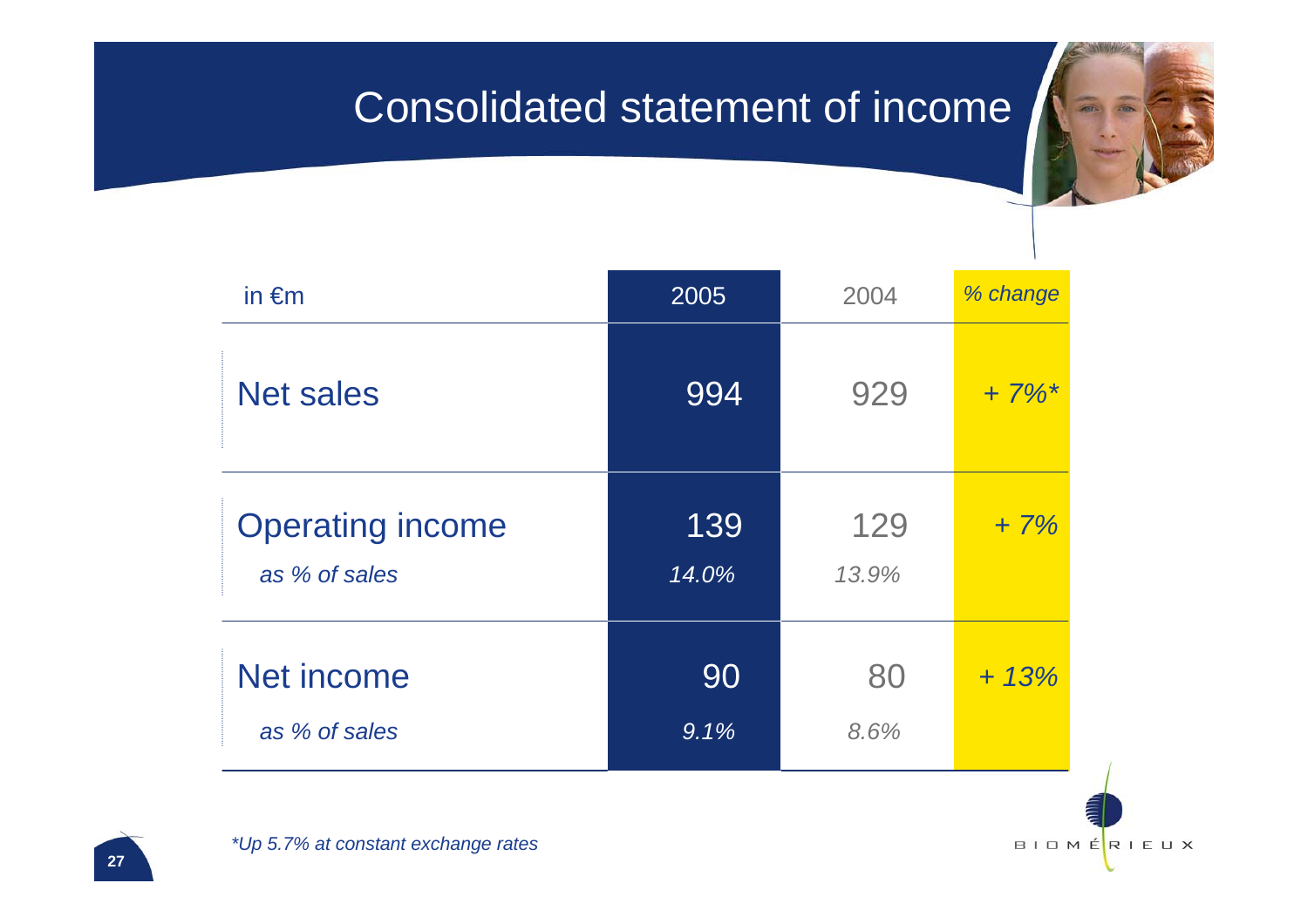### Consolidated statement of income

| in $\epsilon$ m         | 2005  | 2004  | % change            |
|-------------------------|-------|-------|---------------------|
| <b>Net sales</b>        | 994   | 929   | $+7\%$ <sup>*</sup> |
| <b>Operating income</b> | 139   | 129   | $+7%$               |
| as % of sales           | 14.0% | 13.9% |                     |
| Net income              | 90    | 80    | $+ 13%$             |
| as % of sales           | 9.1%  | 8.6%  |                     |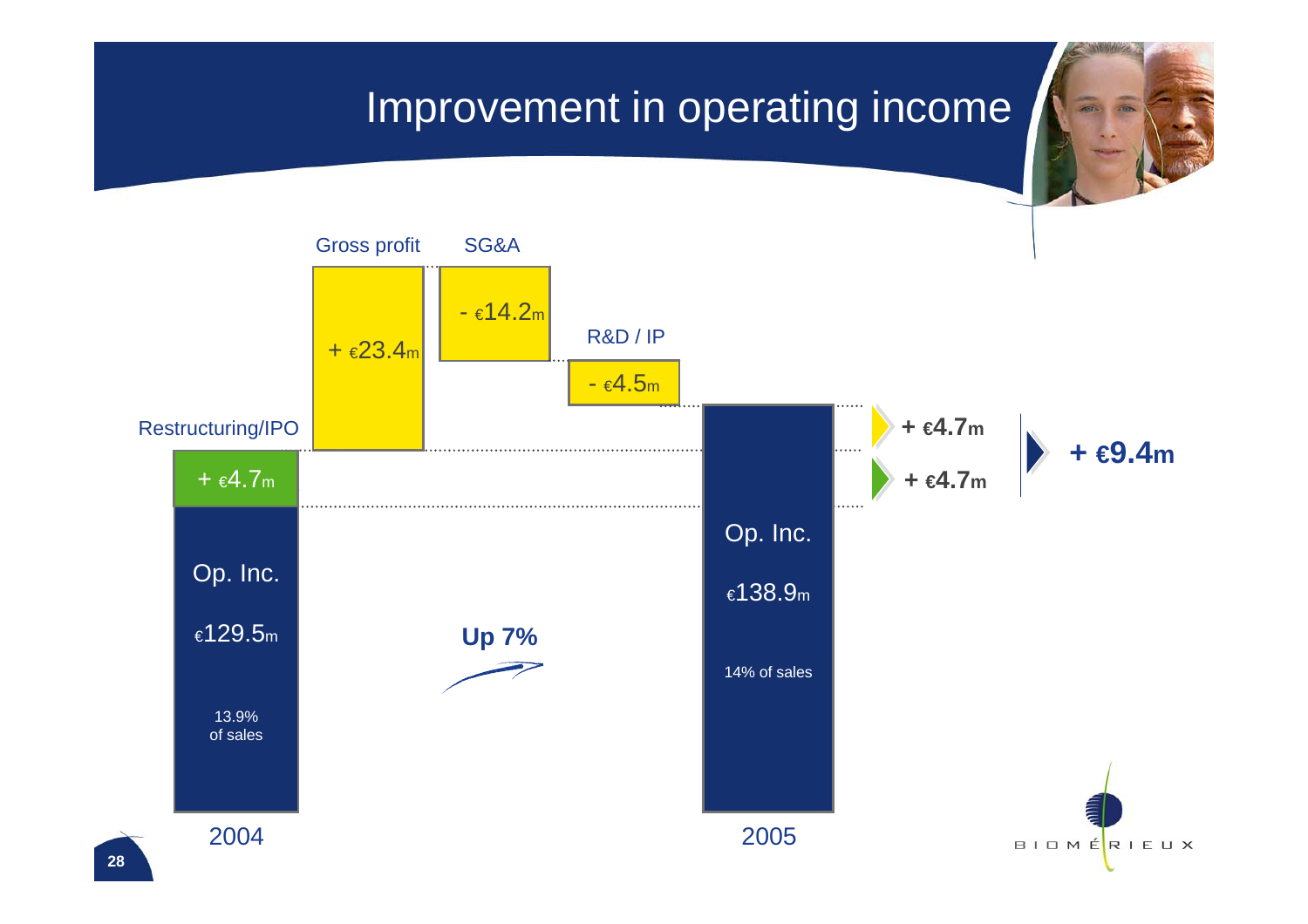### Improvement in operating income

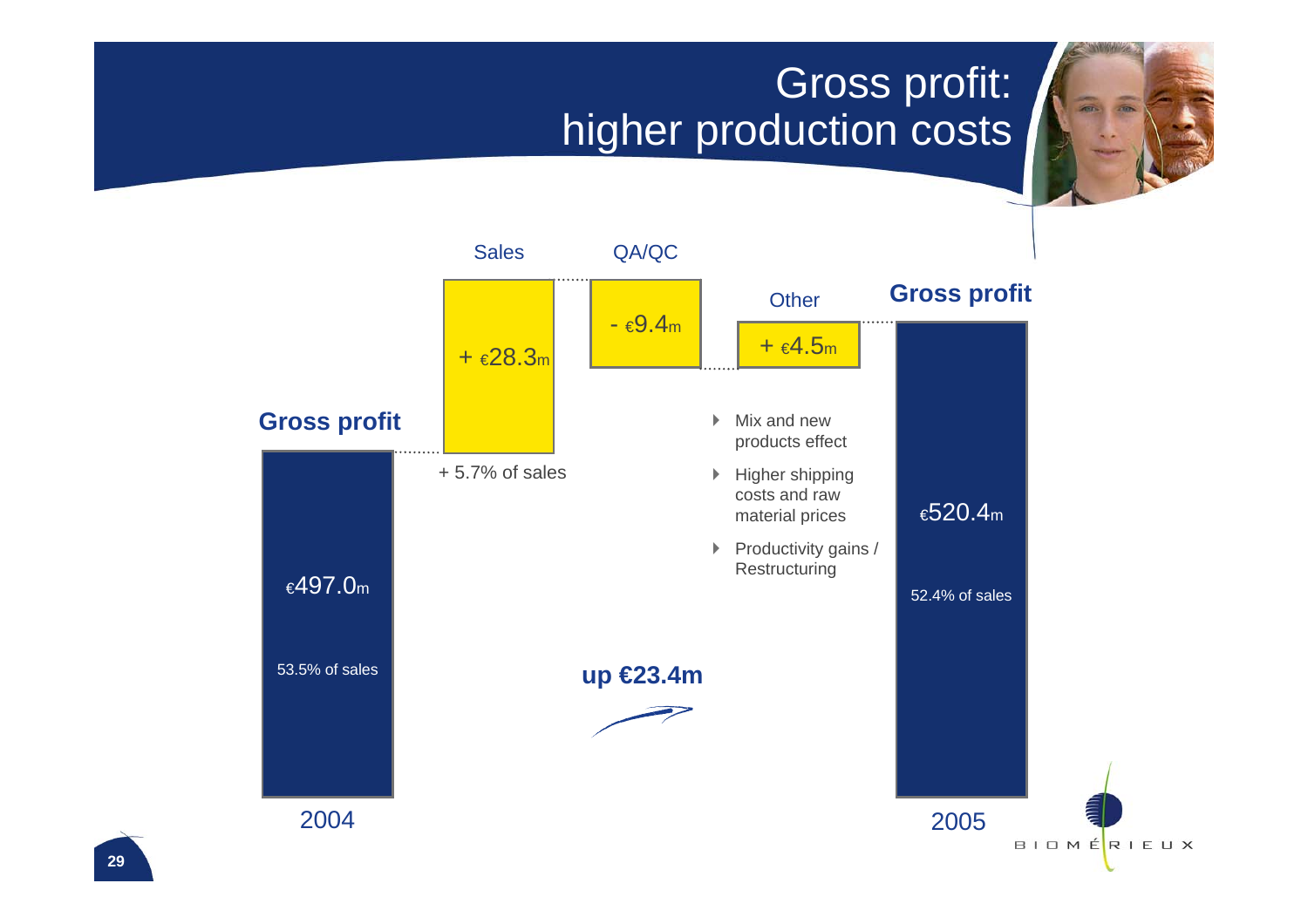## Gross profit: higher production costs

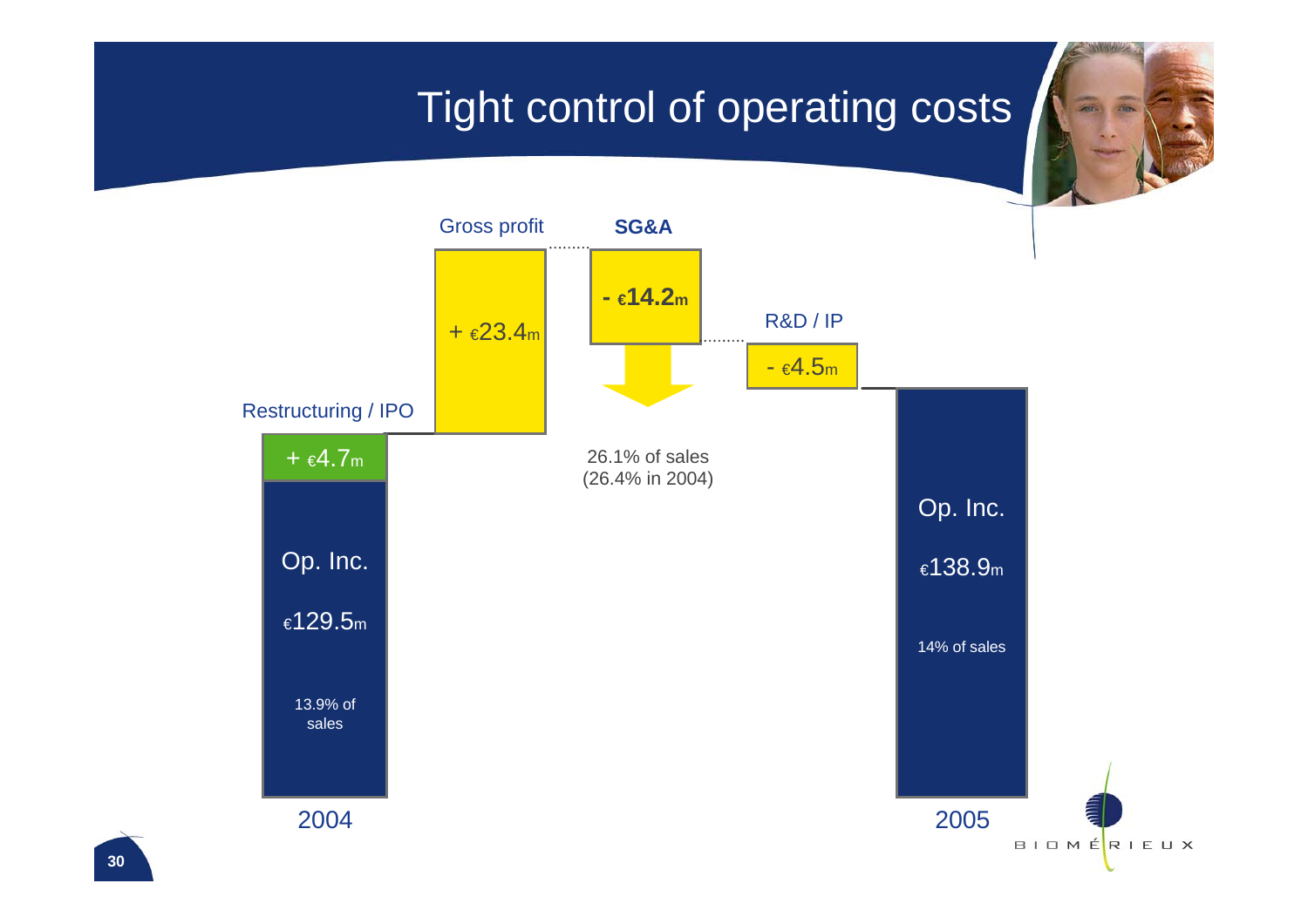## Tight control of operating costs

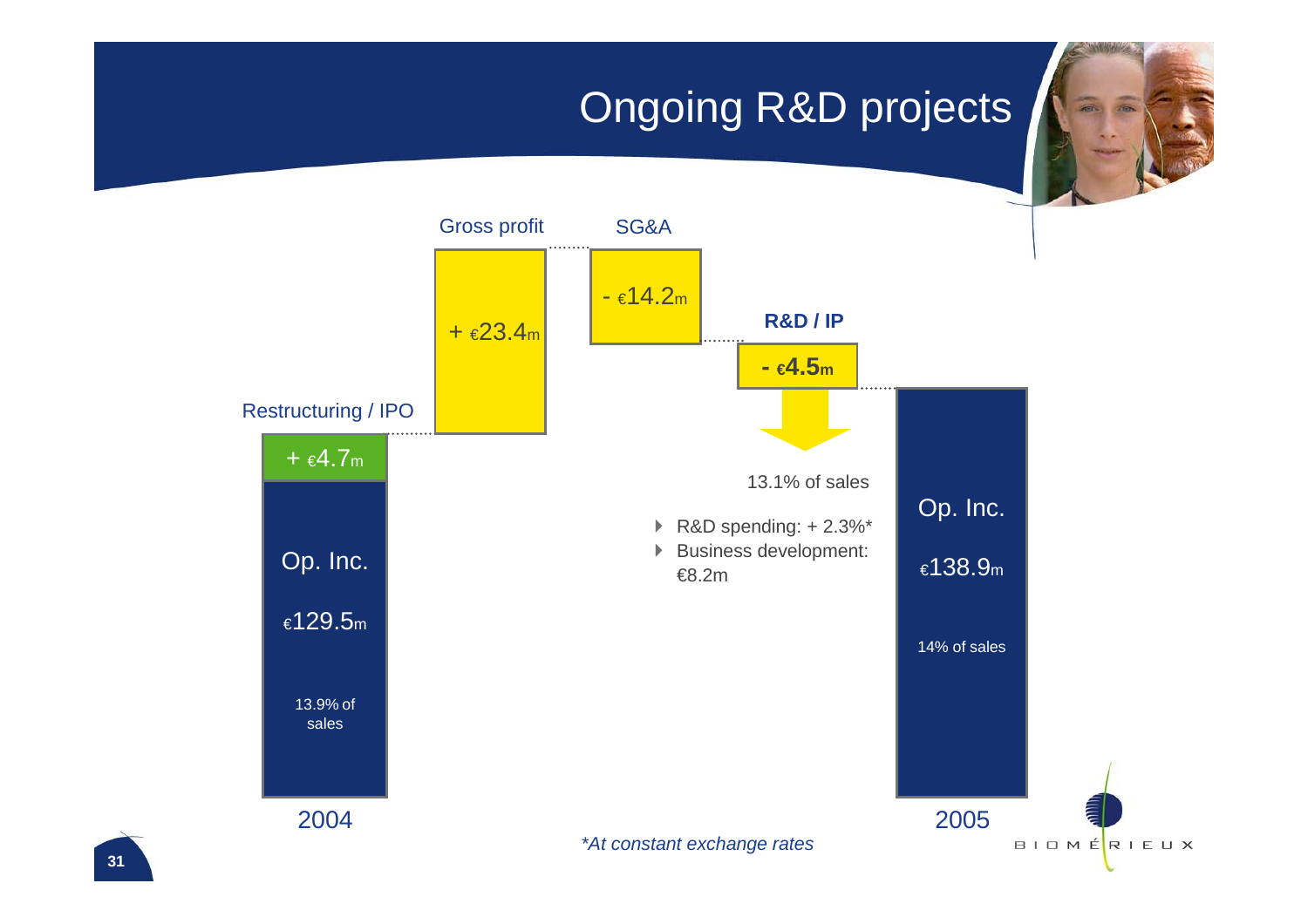## Ongoing R&D projects

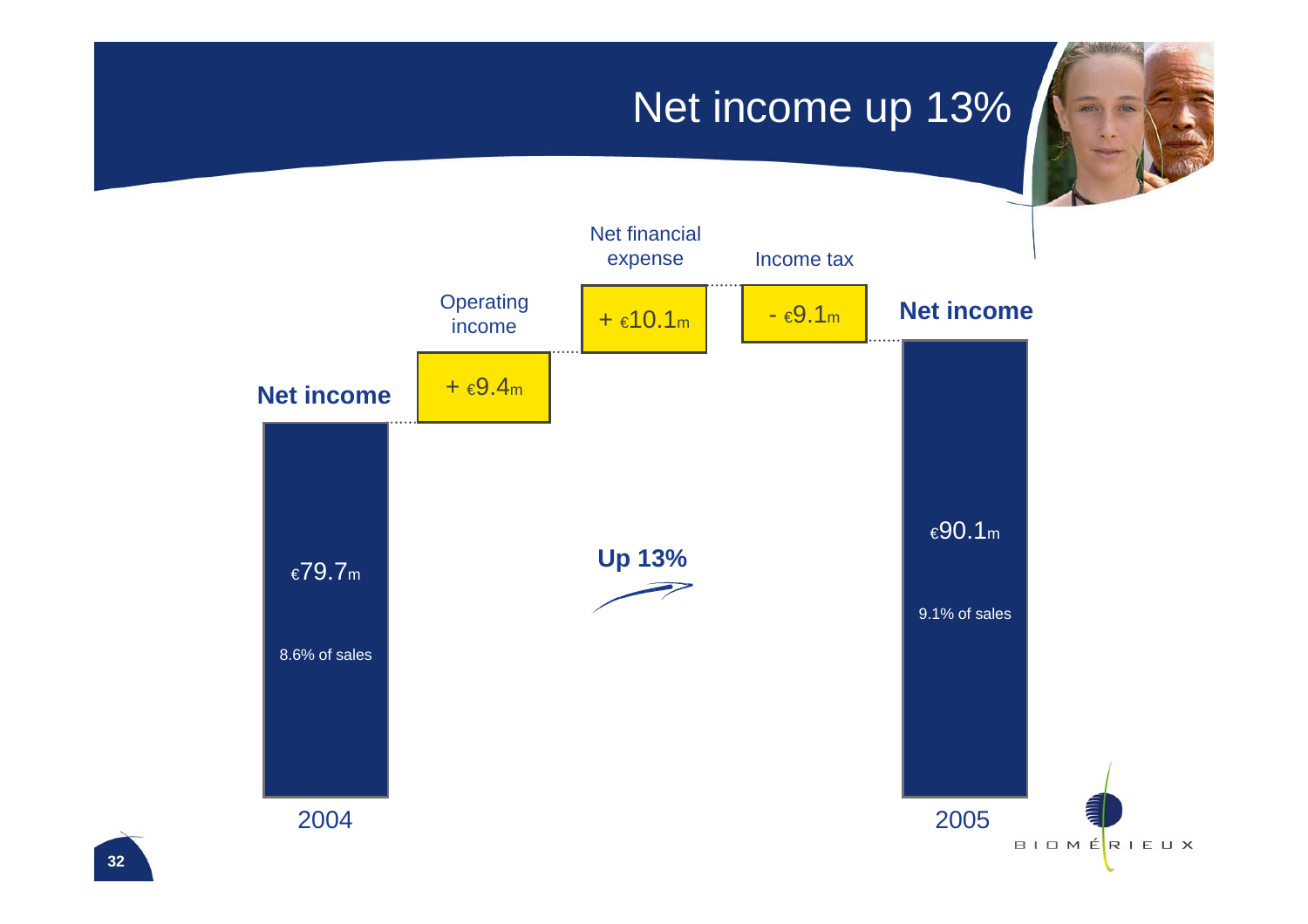### Net income up 13%

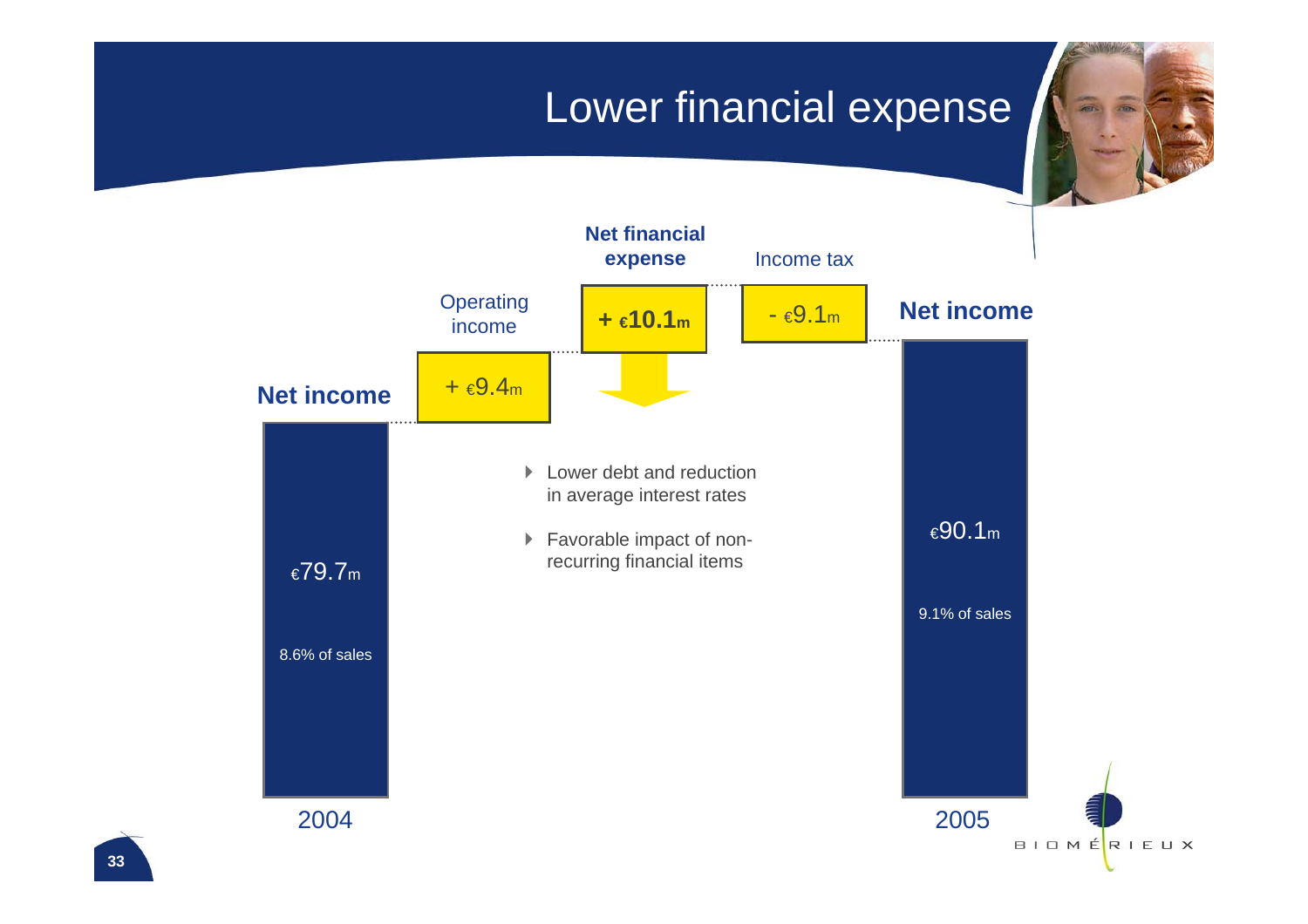### Lower financial expense

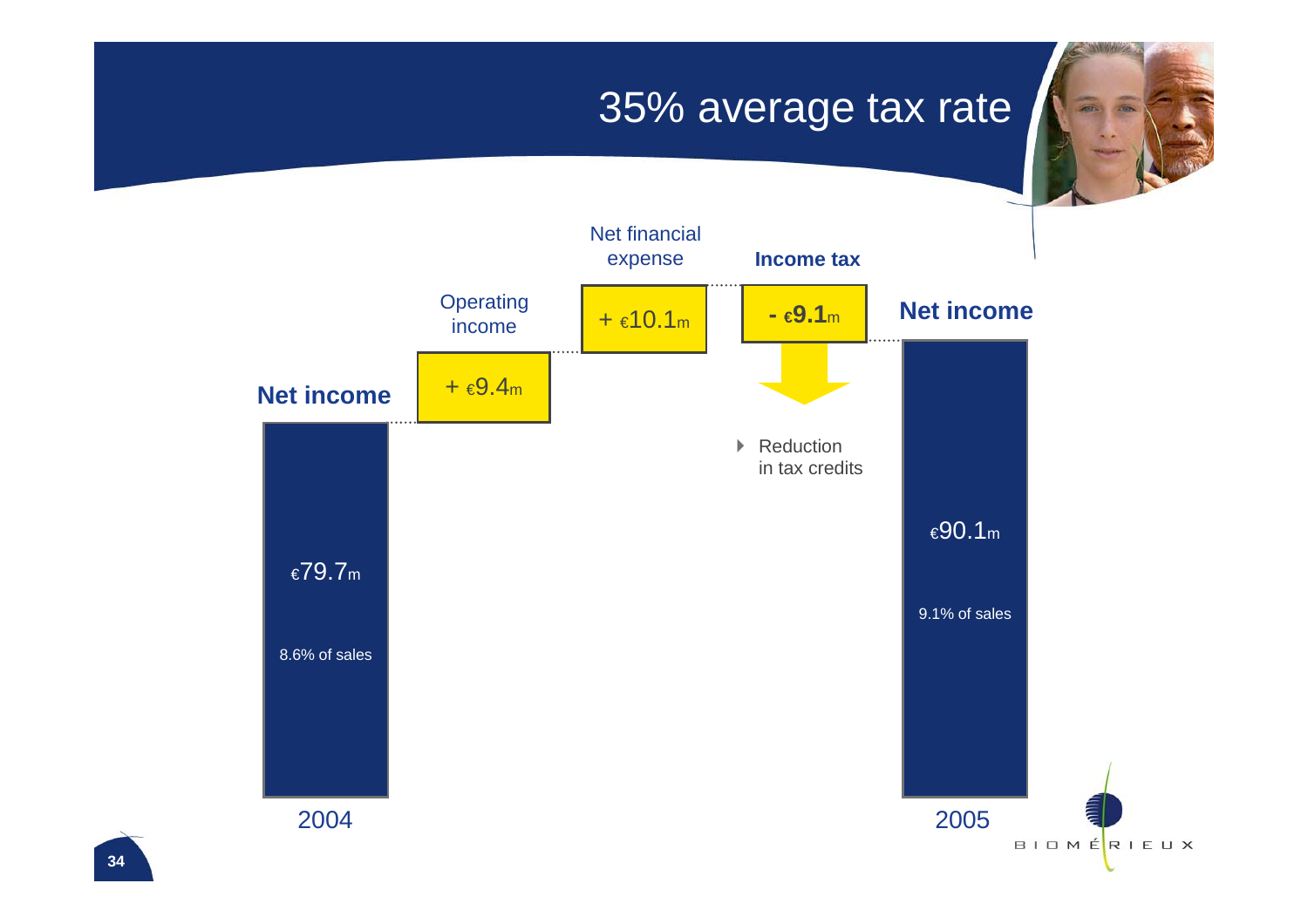#### 35% average tax rate

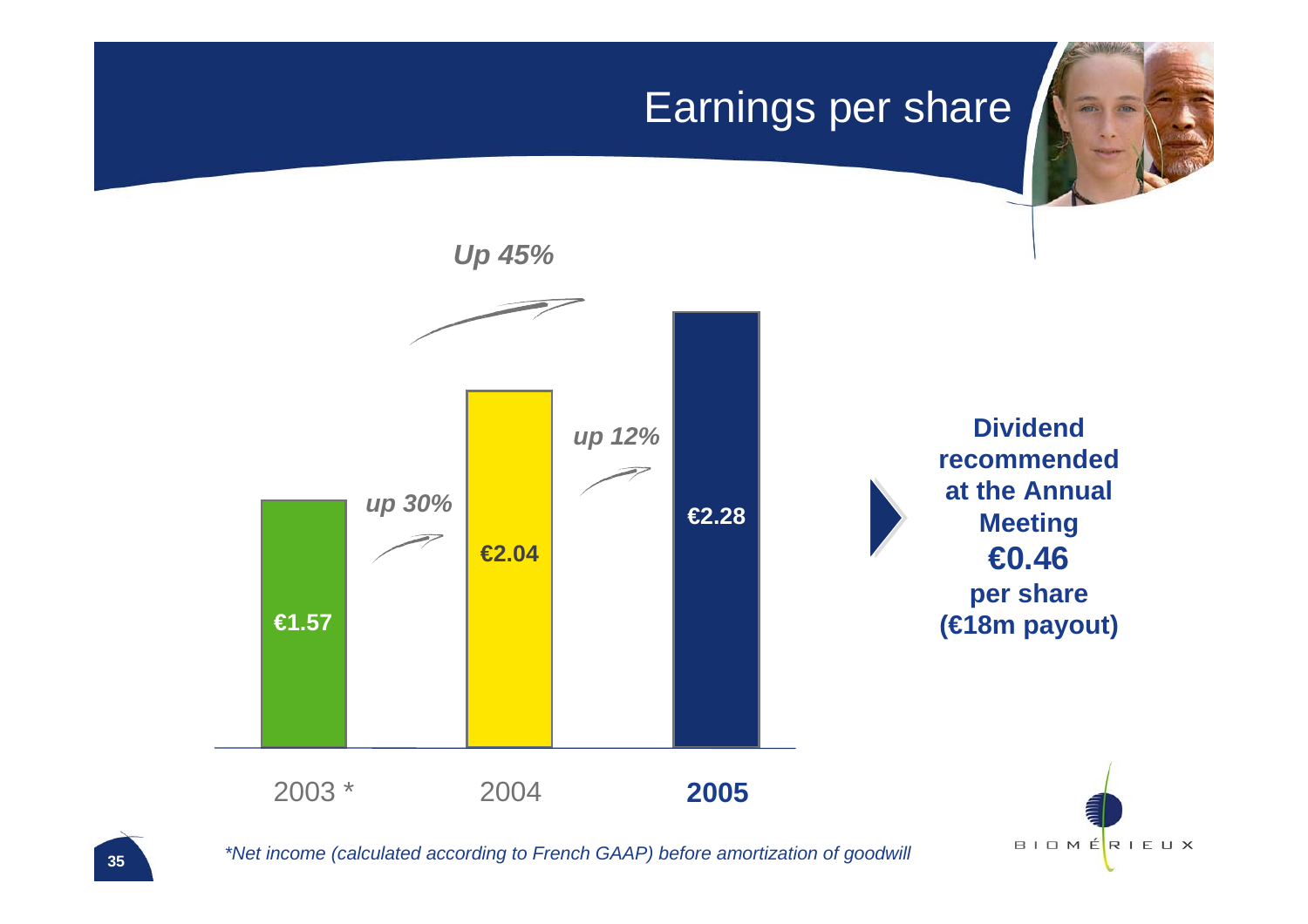### Earnings per share



*\*Net income (calculated according to French GAAP) before amortization of goodwill*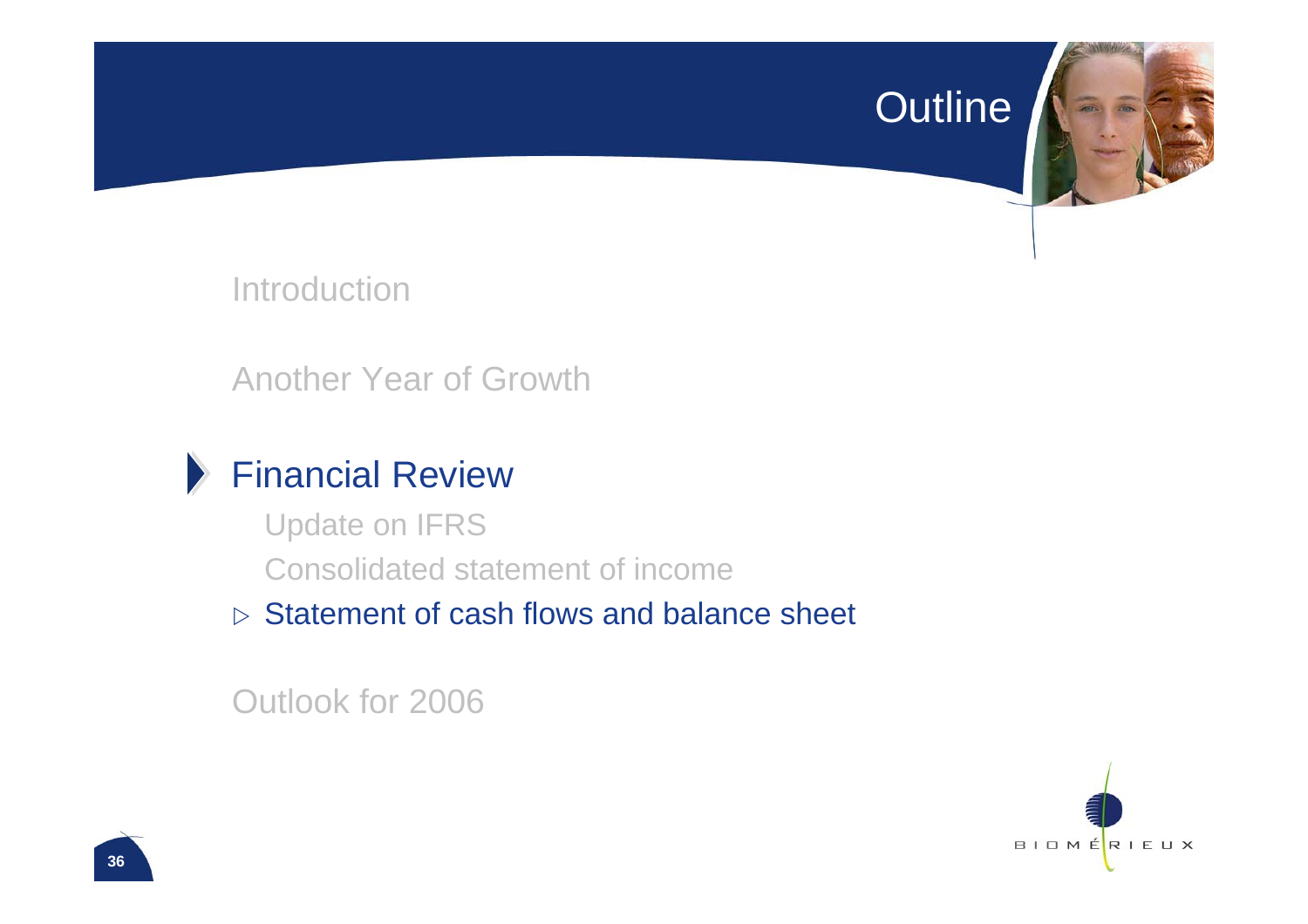#### Outline



Introduction

Another Year of Growth

### Financial Review

Update on IFRS Consolidated statement of income

 $\triangleright$  Statement of cash flows and balance sheet

Outlook for 2006

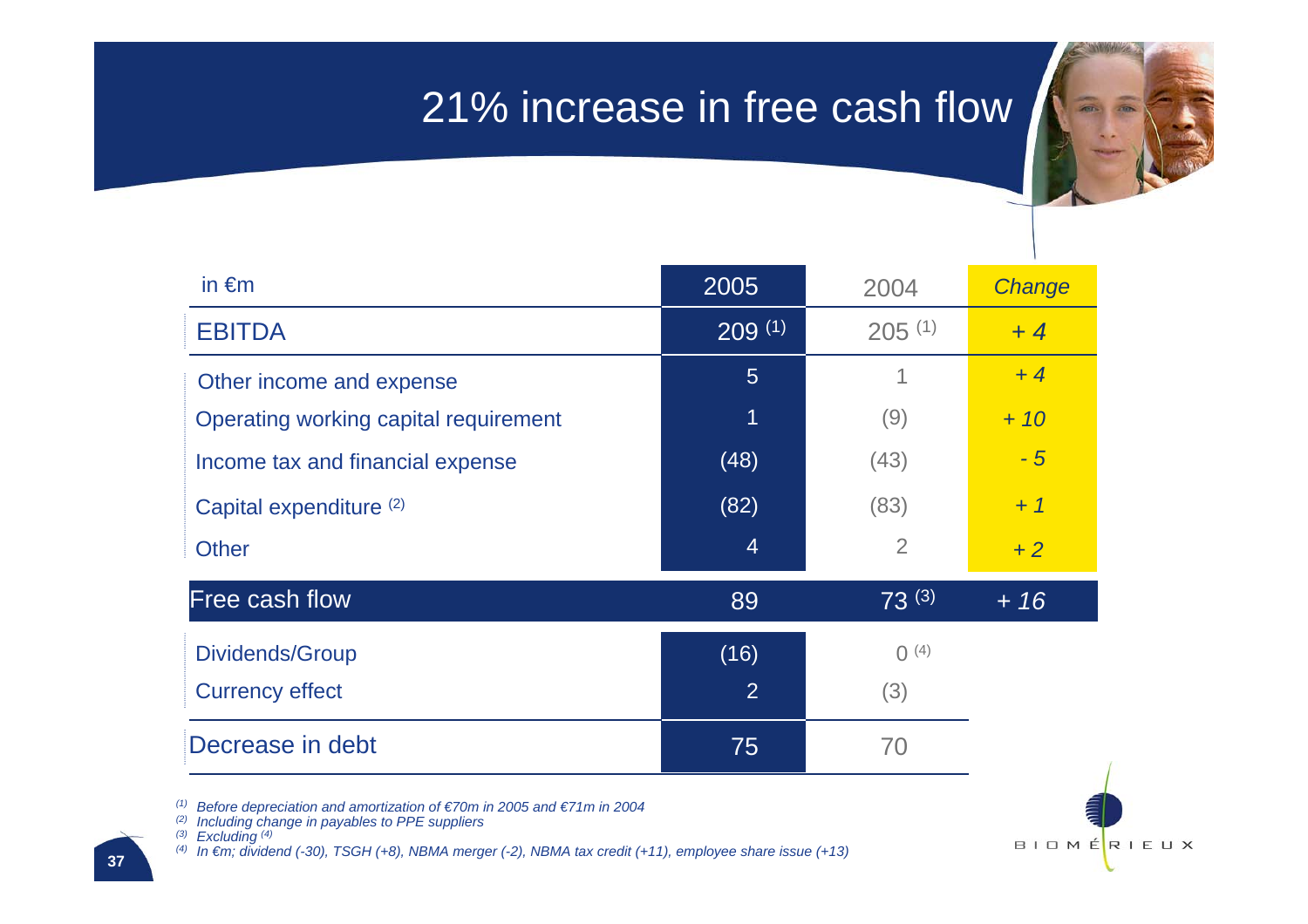### 21% increase in free cash flow



| in $\epsilon$ m                       | 2005           | 2004           | Change |
|---------------------------------------|----------------|----------------|--------|
| <b>EBITDA</b>                         | 209(1)         | $205^{(1)}$    | $+4$   |
| Other income and expense              | $5\phantom{1}$ | 1              | $+4$   |
| Operating working capital requirement | 1              | (9)            | $+10$  |
| Income tax and financial expense      | (48)           | (43)           | $-5$   |
| Capital expenditure (2)               | (82)           | (83)           | $+1$   |
| <b>Other</b>                          | $\overline{4}$ | $\overline{2}$ | $+2$   |
| Free cash flow                        | 89             | $73^{(3)}$     | $+16$  |
| Dividends/Group                       | (16)           | $O^{(4)}$      |        |
| <b>Currency effect</b>                | $\overline{2}$ | (3)            |        |
| Decrease in debt                      | 75             | 70             |        |

*(1) Before depreciation and amortization of €70m in 2005 and €71m in 2004*

*(2) Including change in payables to PPE suppliers*

*(3) Excluding (4)*

*(4) In €m; dividend (-30), TSGH (+8), NBMA merger (-2), NBMA tax credit (+11), employee share issue (+13)*

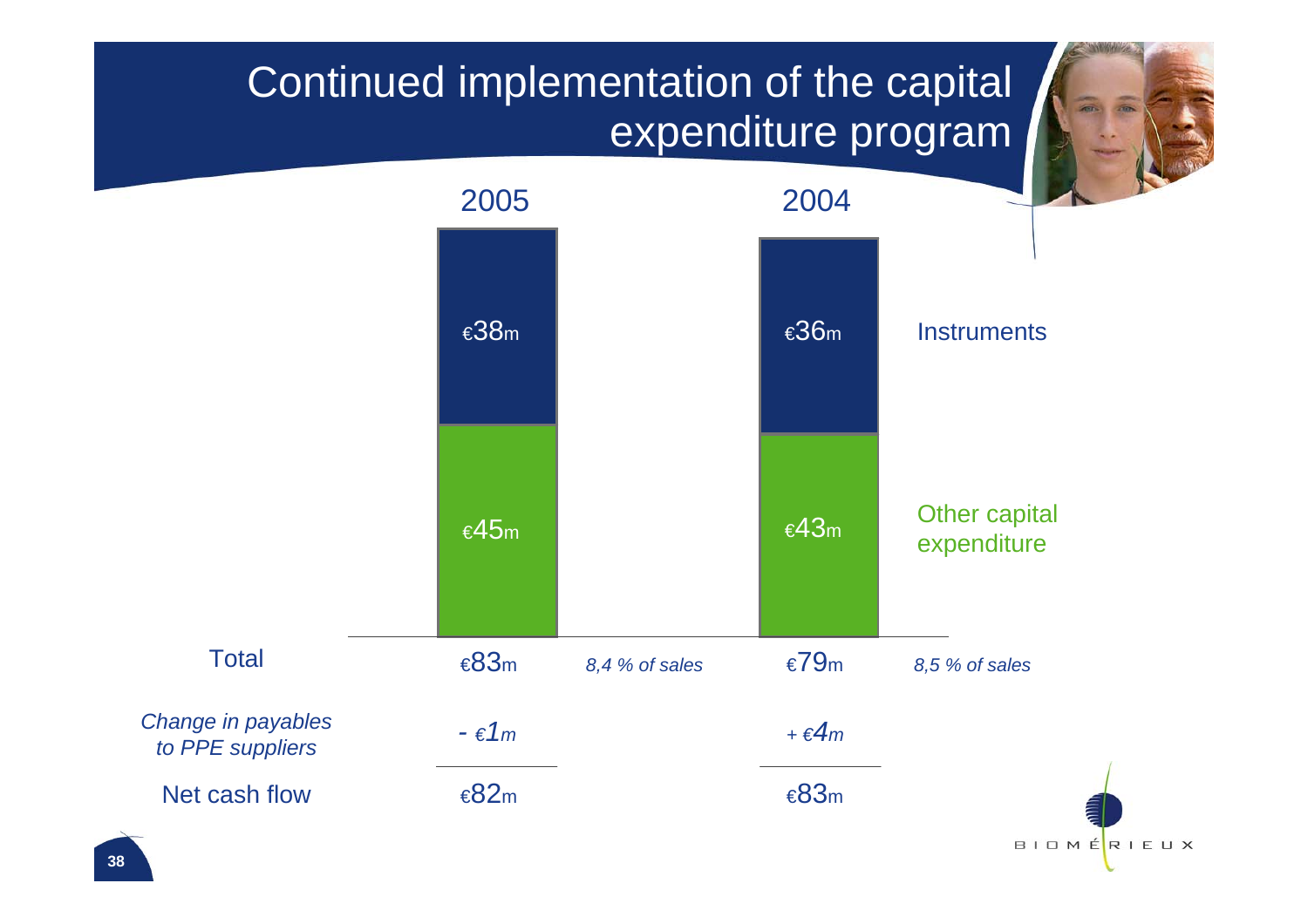## Continued implementation of the capital expenditure program

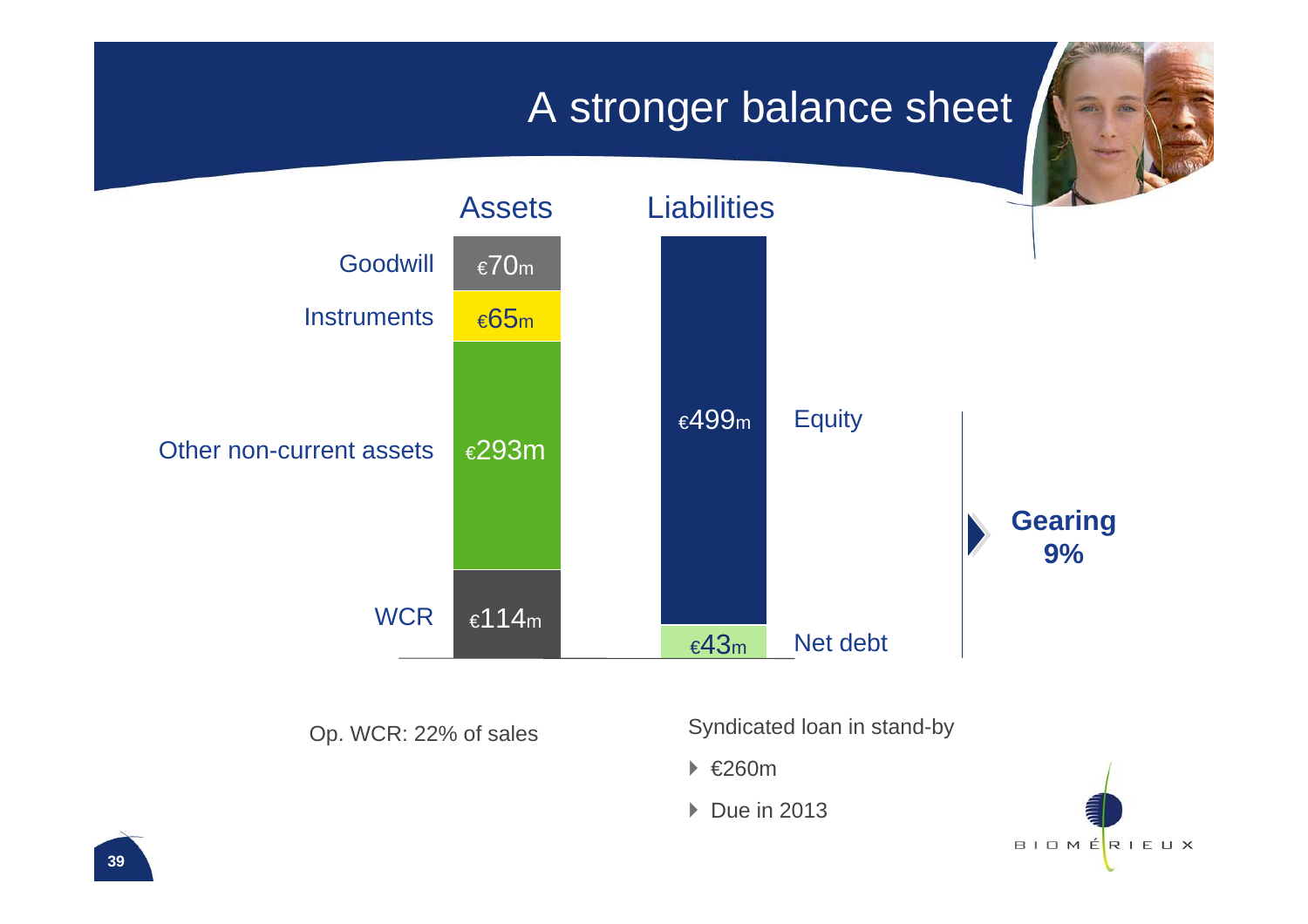### A stronger balance sheet



Op. WCR: 22% of sales

Syndicated loan in stand-by

` €260m

▶ Due in 2013

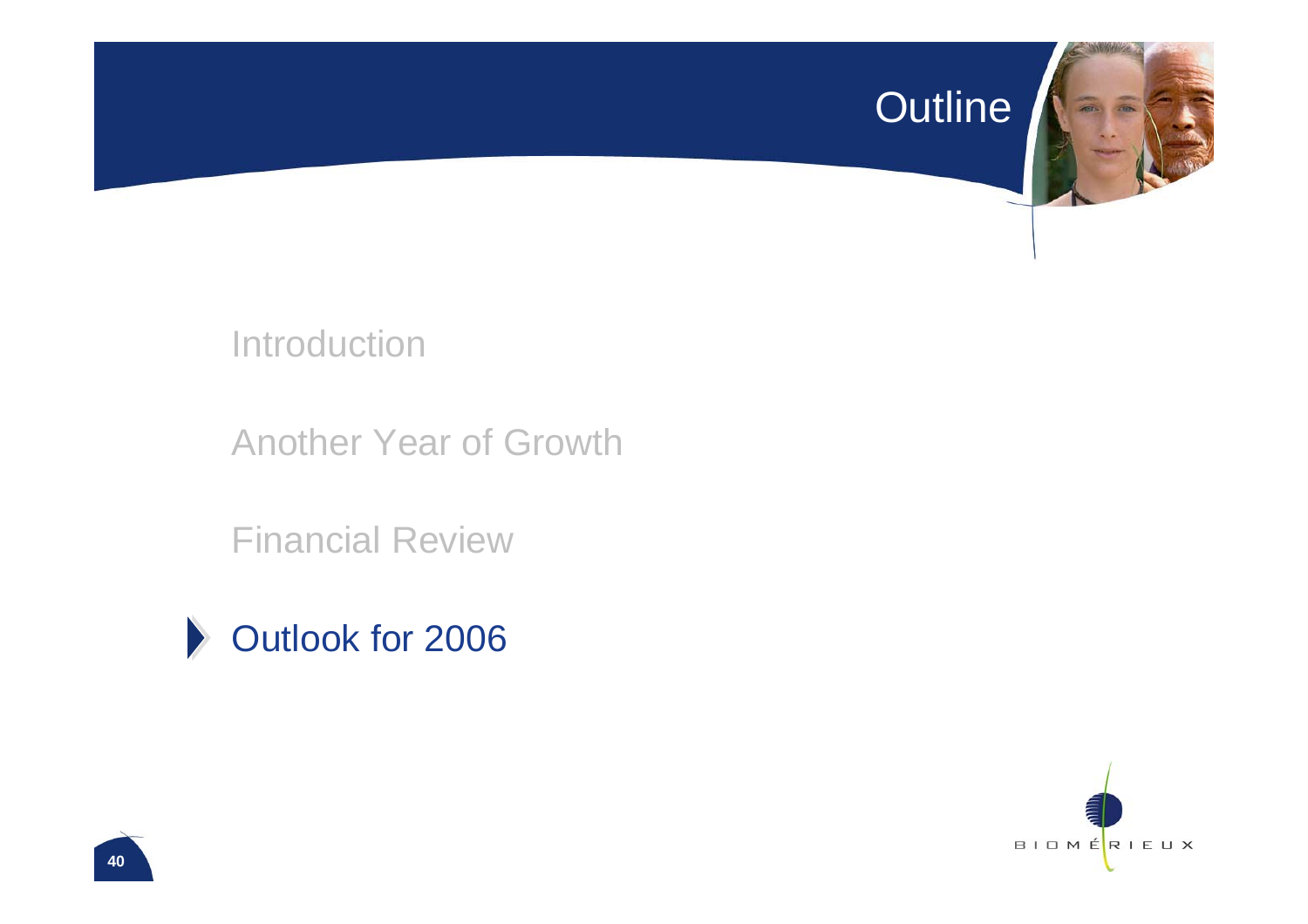#### Outline



Introduction

Another Year of Growth

Financial Review

![](_page_40_Picture_5.jpeg)

![](_page_40_Picture_6.jpeg)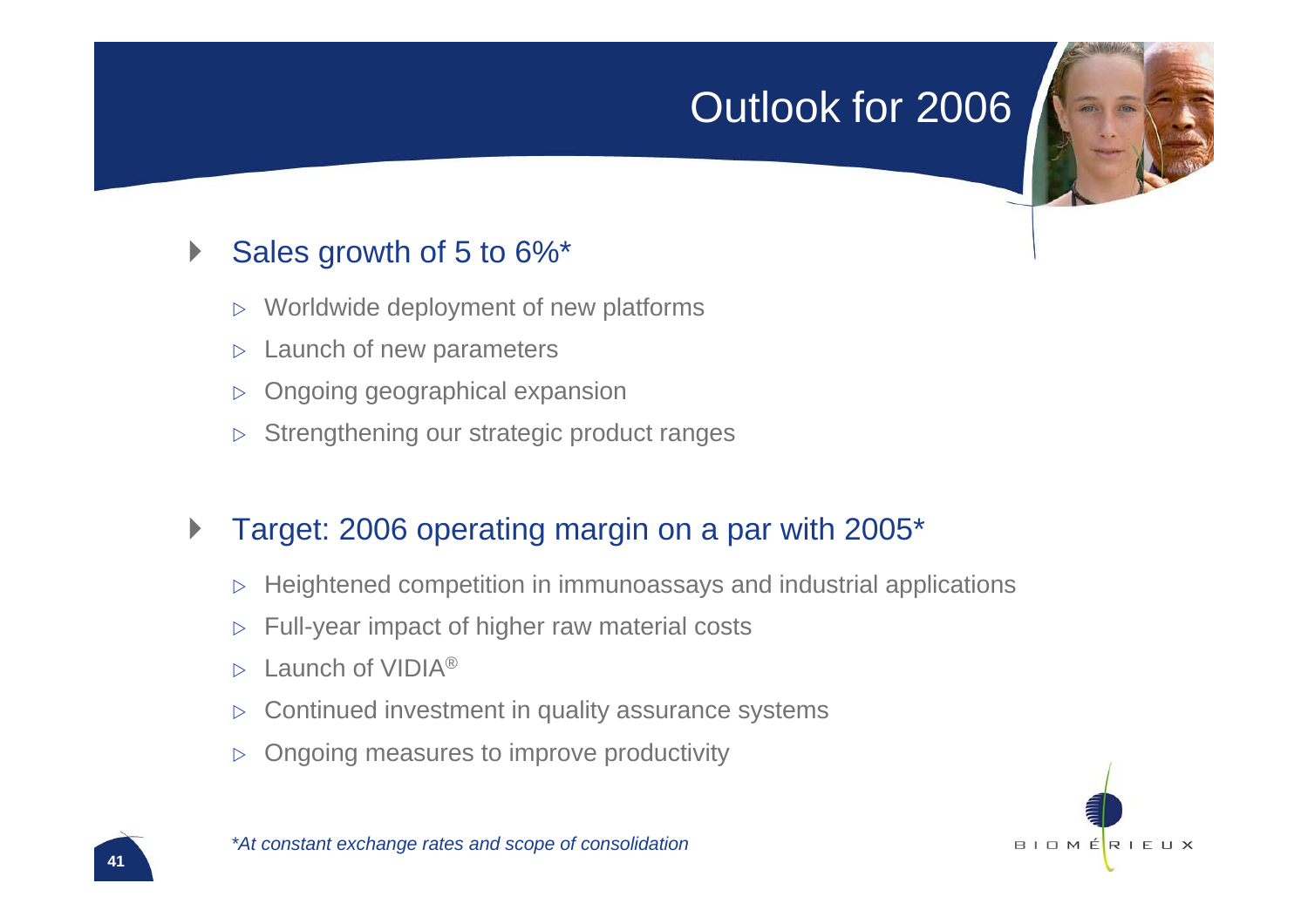### Outlook for 2006

#### $\blacktriangleright$ Sales growth of 5 to 6%\*

- $\triangleright$ Worldwide deployment of new platforms
- $\triangleright$ Launch of new parameters
- $\triangleright$ Ongoing geographical expansion
- $\triangleright$ Strengthening our strategic product ranges

#### $\blacktriangleright$ Target: 2006 operating margin on a par with 2005\*

- $\triangleright$  Heightened competition in immunoassays and industrial applications
- $\triangleright$ Full-year impact of higher raw material costs
- $\triangleright$ Launch of VIDIA<sup>®</sup>
- $\triangleright$ Continued investment in quality assurance systems
- $\triangleright$ Ongoing measures to improve productivity

![](_page_41_Picture_12.jpeg)

#### *\*At constant exchange rates and scope of consolidation*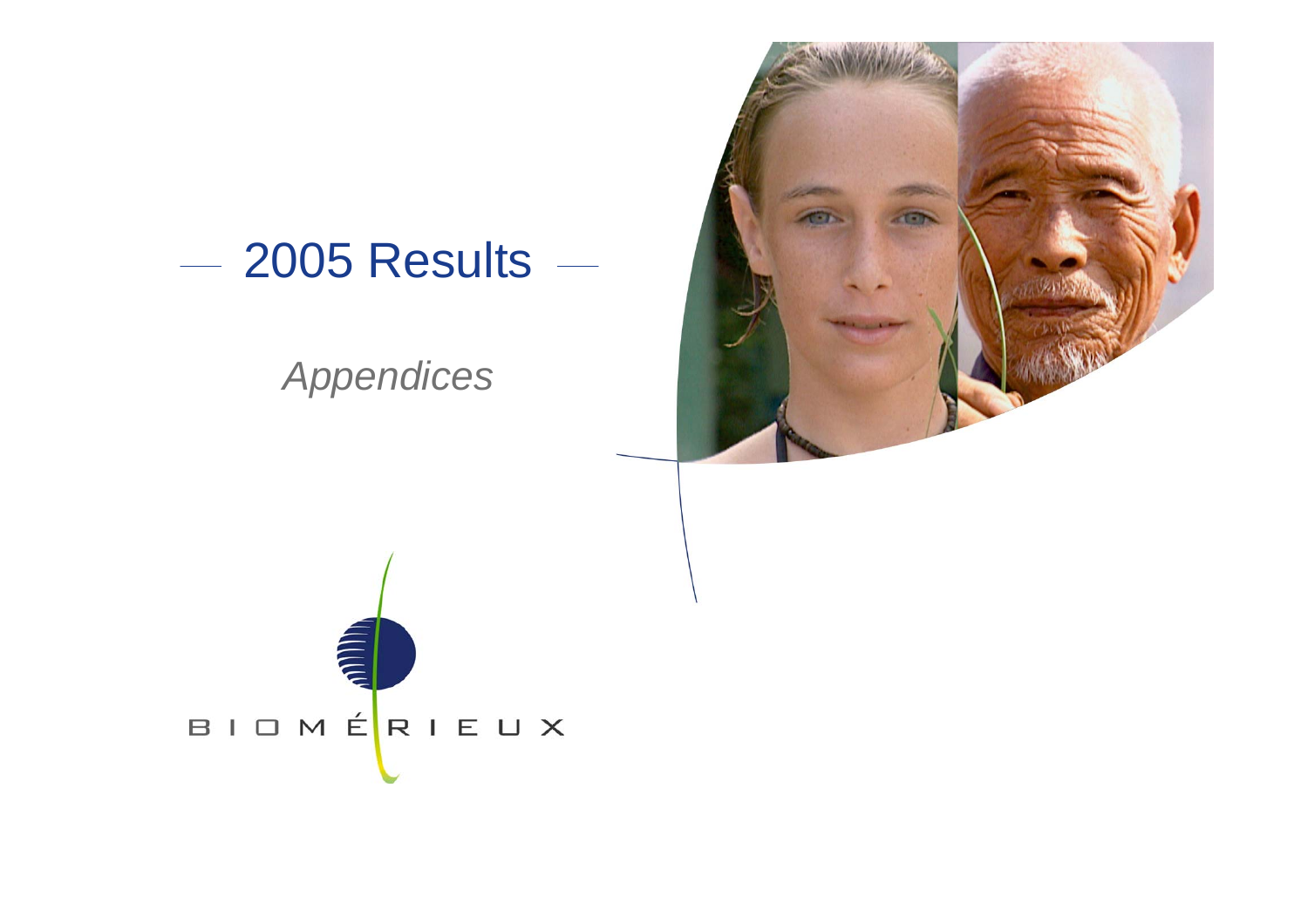![](_page_42_Picture_0.jpeg)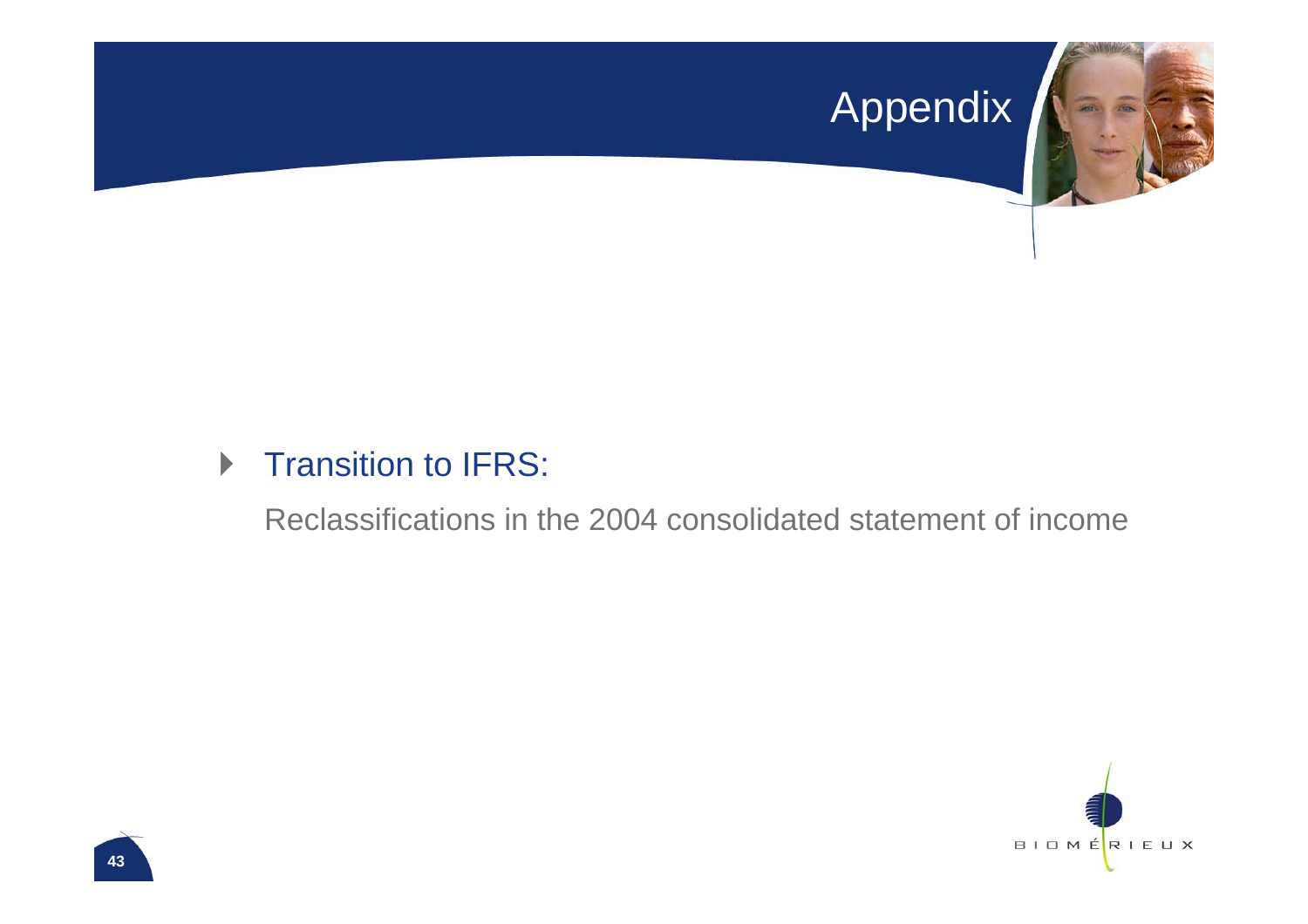# **Appendix**

![](_page_43_Picture_1.jpeg)

#### **Transition to IFRS:**

Reclassifications in the 2004 consolidated statement of income

![](_page_43_Picture_4.jpeg)